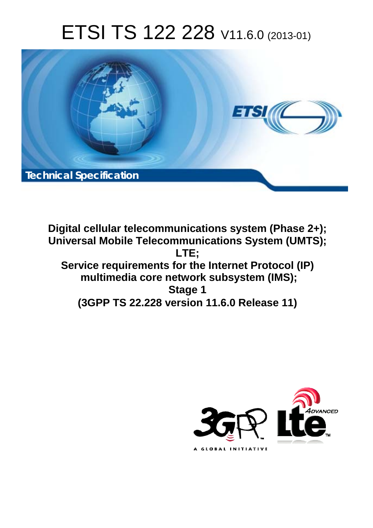# ETSI TS 122 228 V11.6.0 (2013-01)



**Digital cellular telecommunications system (Phase 2+); Universal Mobile Telecommunications System (UMTS); LTE; Service requirements for the Internet Protocol (IP) multimedia core network subsystem (IMS); Stage 1 (3GPP TS 22.228 version 11.6.0 Release 11)** 

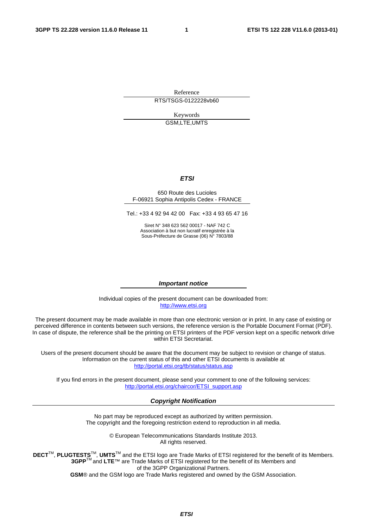Reference RTS/TSGS-0122228vb60

> Keywords GSM,LTE,UMTS

#### *ETSI*

#### 650 Route des Lucioles F-06921 Sophia Antipolis Cedex - FRANCE

Tel.: +33 4 92 94 42 00 Fax: +33 4 93 65 47 16

Siret N° 348 623 562 00017 - NAF 742 C Association à but non lucratif enregistrée à la Sous-Préfecture de Grasse (06) N° 7803/88

#### *Important notice*

Individual copies of the present document can be downloaded from: [http://www.etsi.org](http://www.etsi.org/)

The present document may be made available in more than one electronic version or in print. In any case of existing or perceived difference in contents between such versions, the reference version is the Portable Document Format (PDF). In case of dispute, the reference shall be the printing on ETSI printers of the PDF version kept on a specific network drive within ETSI Secretariat.

Users of the present document should be aware that the document may be subject to revision or change of status. Information on the current status of this and other ETSI documents is available at <http://portal.etsi.org/tb/status/status.asp>

If you find errors in the present document, please send your comment to one of the following services: [http://portal.etsi.org/chaircor/ETSI\\_support.asp](http://portal.etsi.org/chaircor/ETSI_support.asp)

#### *Copyright Notification*

No part may be reproduced except as authorized by written permission. The copyright and the foregoing restriction extend to reproduction in all media.

> © European Telecommunications Standards Institute 2013. All rights reserved.

**DECT**TM, **PLUGTESTS**TM, **UMTS**TM and the ETSI logo are Trade Marks of ETSI registered for the benefit of its Members. **3GPP**TM and **LTE**™ are Trade Marks of ETSI registered for the benefit of its Members and of the 3GPP Organizational Partners.

**GSM**® and the GSM logo are Trade Marks registered and owned by the GSM Association.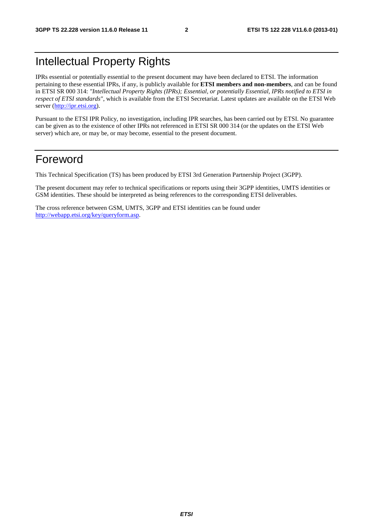## Intellectual Property Rights

IPRs essential or potentially essential to the present document may have been declared to ETSI. The information pertaining to these essential IPRs, if any, is publicly available for **ETSI members and non-members**, and can be found in ETSI SR 000 314: *"Intellectual Property Rights (IPRs); Essential, or potentially Essential, IPRs notified to ETSI in respect of ETSI standards"*, which is available from the ETSI Secretariat. Latest updates are available on the ETSI Web server [\(http://ipr.etsi.org](http://webapp.etsi.org/IPR/home.asp)).

Pursuant to the ETSI IPR Policy, no investigation, including IPR searches, has been carried out by ETSI. No guarantee can be given as to the existence of other IPRs not referenced in ETSI SR 000 314 (or the updates on the ETSI Web server) which are, or may be, or may become, essential to the present document.

### Foreword

This Technical Specification (TS) has been produced by ETSI 3rd Generation Partnership Project (3GPP).

The present document may refer to technical specifications or reports using their 3GPP identities, UMTS identities or GSM identities. These should be interpreted as being references to the corresponding ETSI deliverables.

The cross reference between GSM, UMTS, 3GPP and ETSI identities can be found under [http://webapp.etsi.org/key/queryform.asp.](http://webapp.etsi.org/key/queryform.asp)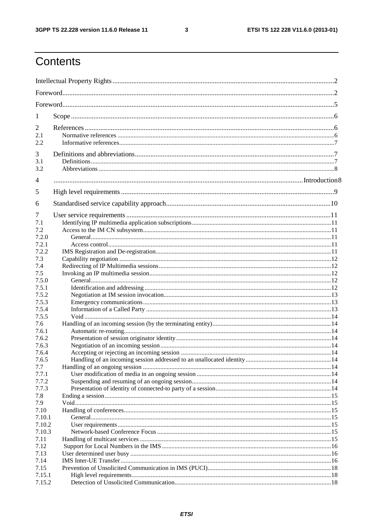$\mathbf{3}$ 

## Contents

| 1               |  |
|-----------------|--|
| 2<br>2.1<br>2.2 |  |
| 3<br>3.1<br>3.2 |  |
| 4               |  |
| 5               |  |
| 6               |  |
| 7<br>7.1<br>7.2 |  |
| 7.2.0<br>7.2.1  |  |
| 7.2.2           |  |
| 7.3             |  |
| 7.4             |  |
| 7.5             |  |
| 7.5.0           |  |
| 7.5.1           |  |
| 7.5.2           |  |
| 7.5.3           |  |
| 7.5.4<br>7.5.5  |  |
| 7.6             |  |
| 7.6.1           |  |
| 7.6.2           |  |
| 7.6.3           |  |
| 7.6.4           |  |
| 7.6.5           |  |
| 7.7             |  |
| 7.7.1           |  |
| 7.7.2           |  |
| 7.7.3           |  |
| 7.8             |  |
| 7.9             |  |
| 7.10            |  |
| 7.10.1          |  |
| 7.10.2          |  |
| 7.10.3          |  |
| 7.11<br>7.12    |  |
| 7.13            |  |
| 7.14            |  |
| 7.15            |  |
| 7.15.1          |  |
| 7.15.2          |  |
|                 |  |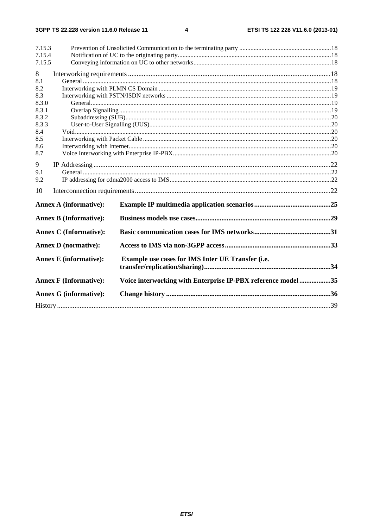#### $\overline{\mathbf{4}}$

| 7.15.3<br>7.15.4<br>7.15.5                                   |                               |                                                             |  |  |  |  |  |  |
|--------------------------------------------------------------|-------------------------------|-------------------------------------------------------------|--|--|--|--|--|--|
| 8                                                            |                               |                                                             |  |  |  |  |  |  |
| 8.1<br>8.2<br>8.3<br>8.3.0<br>8.3.1<br>8.3.2<br>8.3.3<br>8.4 |                               |                                                             |  |  |  |  |  |  |
| 8.5<br>8.6<br>8.7                                            |                               |                                                             |  |  |  |  |  |  |
| 9<br>9.1<br>9.2                                              |                               |                                                             |  |  |  |  |  |  |
| 10                                                           |                               |                                                             |  |  |  |  |  |  |
|                                                              | <b>Annex A (informative):</b> |                                                             |  |  |  |  |  |  |
|                                                              | <b>Annex B (Informative):</b> |                                                             |  |  |  |  |  |  |
|                                                              | <b>Annex C</b> (Informative): |                                                             |  |  |  |  |  |  |
|                                                              | <b>Annex D</b> (normative):   |                                                             |  |  |  |  |  |  |
|                                                              | <b>Annex E</b> (informative): | Example use cases for IMS Inter UE Transfer (i.e.           |  |  |  |  |  |  |
|                                                              | <b>Annex F (Informative):</b> | Voice interworking with Enterprise IP-PBX reference model35 |  |  |  |  |  |  |
|                                                              | <b>Annex G (informative):</b> |                                                             |  |  |  |  |  |  |
|                                                              |                               |                                                             |  |  |  |  |  |  |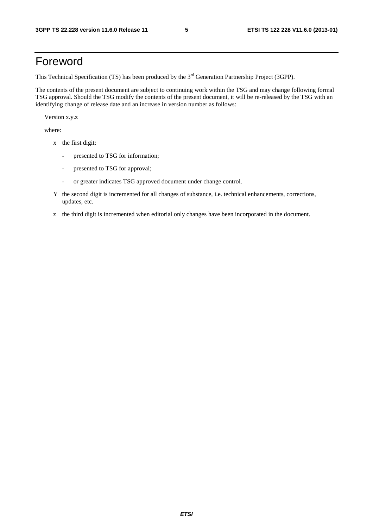## Foreword

This Technical Specification (TS) has been produced by the 3<sup>rd</sup> Generation Partnership Project (3GPP).

The contents of the present document are subject to continuing work within the TSG and may change following formal TSG approval. Should the TSG modify the contents of the present document, it will be re-released by the TSG with an identifying change of release date and an increase in version number as follows:

Version x.y.z

where:

- x the first digit:
	- presented to TSG for information;
	- presented to TSG for approval;
	- or greater indicates TSG approved document under change control.
- Y the second digit is incremented for all changes of substance, i.e. technical enhancements, corrections, updates, etc.
- z the third digit is incremented when editorial only changes have been incorporated in the document.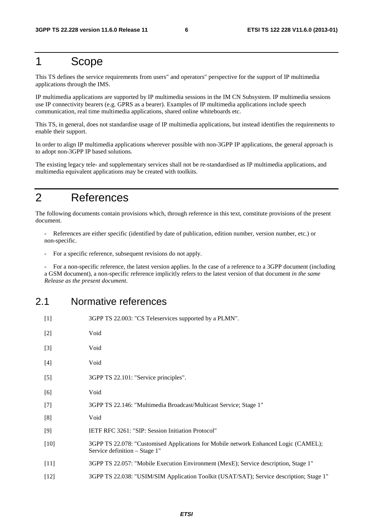### 1 Scope

This TS defines the service requirements from users" and operators" perspective for the support of IP multimedia applications through the IMS.

IP multimedia applications are supported by IP multimedia sessions in the IM CN Subsystem. IP multimedia sessions use IP connectivity bearers (e.g. GPRS as a bearer). Examples of IP multimedia applications include speech communication, real time multimedia applications, shared online whiteboards etc.

This TS, in general, does not standardise usage of IP multimedia applications, but instead identifies the requirements to enable their support.

In order to align IP multimedia applications wherever possible with non-3GPP IP applications, the general approach is to adopt non-3GPP IP based solutions.

The existing legacy tele- and supplementary services shall not be re-standardised as IP multimedia applications, and multimedia equivalent applications may be created with toolkits.

### 2 References

The following documents contain provisions which, through reference in this text, constitute provisions of the present document.

- References are either specific (identified by date of publication, edition number, version number, etc.) or non-specific.

For a specific reference, subsequent revisions do not apply.

- For a non-specific reference, the latest version applies. In the case of a reference to a 3GPP document (including a GSM document), a non-specific reference implicitly refers to the latest version of that document *in the same Release as the present document*.

#### 2.1 Normative references

| $[1]$  | 3GPP TS 22.003: "CS Teleservices supported by a PLMN".                                                               |
|--------|----------------------------------------------------------------------------------------------------------------------|
| $[2]$  | Void                                                                                                                 |
| $[3]$  | Void                                                                                                                 |
| $[4]$  | Void                                                                                                                 |
| $[5]$  | 3GPP TS 22.101: "Service principles".                                                                                |
| [6]    | Void                                                                                                                 |
| $[7]$  | 3GPP TS 22.146: "Multimedia Broadcast/Multicast Service; Stage 1"                                                    |
| [8]    | Void                                                                                                                 |
| [9]    | IETF RFC 3261: "SIP: Session Initiation Protocol"                                                                    |
| $[10]$ | 3GPP TS 22.078: "Customised Applications for Mobile network Enhanced Logic (CAMEL);<br>Service definition – Stage 1" |
| $[11]$ | 3GPP TS 22.057: "Mobile Execution Environment (MexE); Service description, Stage 1"                                  |
| $[12]$ | 3GPP TS 22.038: "USIM/SIM Application Toolkit (USAT/SAT); Service description; Stage 1"                              |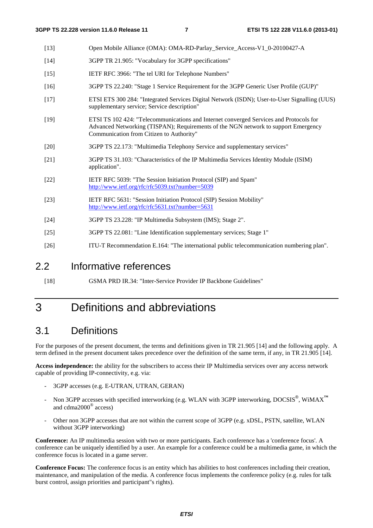- [13] Open Mobile Alliance (OMA): OMA-RD-Parlay\_Service\_Access-V1\_0-20100427-A
- [14] 3GPP TR 21.905: "Vocabulary for 3GPP specifications"
- [15] IETF RFC 3966: "The tel URI for Telephone Numbers"
- [16] 3GPP TS 22.240: "Stage 1 Service Requirement for the 3GPP Generic User Profile (GUP)"
- [17] ETSI ETS 300 284: "Integrated Services Digital Network (ISDN); User-to-User Signalling (UUS) supplementary service; Service description"
- [19] ETSI TS 102 424: "Telecommunications and Internet converged Services and Protocols for Advanced Networking (TISPAN); Requirements of the NGN network to support Emergency Communication from Citizen to Authority"
- [20] 3GPP TS 22.173: "Multimedia Telephony Service and supplementary services"
- [21] 3GPP TS 31.103: "Characteristics of the IP Multimedia Services Identity Module (ISIM) application".
- [22] IETF RFC 5039: "The Session Initiation Protocol (SIP) and Spam" <http://www.ietf.org/rfc/rfc5039.txt?number=5039>
- [23] IETF RFC 5631: "Session Initiation Protocol (SIP) Session Mobility" <http://www.ietf.org/rfc/rfc5631.txt?number=5631>
- [24] 3GPP TS 23.228: "IP Multimedia Subsystem (IMS); Stage 2".
- [25] 3GPP TS 22.081: "Line Identification supplementary services; Stage 1"
- [26] ITU-T Recommendation E.164: "The international public telecommunication numbering plan".

#### 2.2 Informative references

[18] GSMA PRD IR.34: "Inter-Service Provider IP Backbone Guidelines"

## 3 Definitions and abbreviations

#### 3.1 Definitions

For the purposes of the present document, the terms and definitions given in TR 21.905 [14] and the following apply. A term defined in the present document takes precedence over the definition of the same term, if any, in TR 21.905 [14].

**Access independence:** the ability for the subscribers to access their IP Multimedia services over any access network capable of providing IP-connectivity, e.g. via:

- 3GPP accesses (e.g. E-UTRAN, UTRAN, GERAN)
- Non 3GPP accesses with specified interworking (e.g. WLAN with 3GPP interworking, DOCSIS<sup>®</sup>, WiMAX<sup>™</sup> and cdma2000® access)
- Other non 3GPP accesses that are not within the current scope of 3GPP (e.g. xDSL, PSTN, satellite, WLAN without 3GPP interworking)

**Conference:** An IP multimedia session with two or more participants. Each conference has a 'conference focus'. A conference can be uniquely identified by a user. An example for a conference could be a multimedia game, in which the conference focus is located in a game server.

**Conference Focus:** The conference focus is an entity which has abilities to host conferences including their creation, maintenance, and manipulation of the media. A conference focus implements the conference policy (e.g. rules for talk burst control, assign priorities and participant"s rights).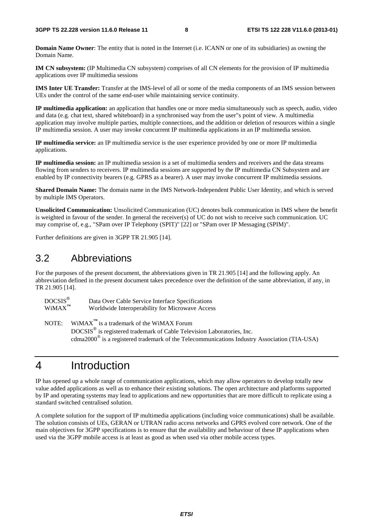**Domain Name Owner**: The entity that is noted in the Internet (i.e. ICANN or one of its subsidiaries) as owning the Domain Name.

**IM CN subsystem:** (IP Multimedia CN subsystem) comprises of all CN elements for the provision of IP multimedia applications over IP multimedia sessions

**IMS Inter UE Transfer:** Transfer at the IMS-level of all or some of the media components of an IMS session between UEs under the control of the same end-user while maintaining service continuity.

**IP multimedia application:** an application that handles one or more media simultaneously such as speech, audio, video and data (e.g. chat text, shared whiteboard) in a synchronised way from the user"s point of view. A multimedia application may involve multiple parties, multiple connections, and the addition or deletion of resources within a single IP multimedia session. A user may invoke concurrent IP multimedia applications in an IP multimedia session.

**IP multimedia service:** an IP multimedia service is the user experience provided by one or more IP multimedia applications.

**IP multimedia session:** an IP multimedia session is a set of multimedia senders and receivers and the data streams flowing from senders to receivers. IP multimedia sessions are supported by the IP multimedia CN Subsystem and are enabled by IP connectivity bearers (e.g. GPRS as a bearer). A user may invoke concurrent IP multimedia sessions.

**Shared Domain Name:** The domain name in the IMS Network-Independent Public User Identity, and which is served by multiple IMS Operators.

**Unsolicited Communication:** Unsolicited Communication (UC) denotes bulk communication in IMS where the benefit is weighted in favour of the sender. In general the receiver(s) of UC do not wish to receive such communication. UC may comprise of, e.g., "SPam over IP Telephony (SPIT)" [22] or "SPam over IP Messaging (SPIM)".

Further definitions are given in 3GPP TR 21.905 [14].

#### 3.2 Abbreviations

For the purposes of the present document, the abbreviations given in TR 21.905 [14] and the following apply. An abbreviation defined in the present document takes precedence over the definition of the same abbreviation, if any, in TR 21.905 [14].

| $DOCSIS^@$<br>$WiMAX^{TM}$ | Data Over Cable Service Interface Specifications<br>Worldwide Interoperability for Microwave Access    |
|----------------------------|--------------------------------------------------------------------------------------------------------|
|                            | NOTE: WiMAX $^{\text{TM}}$ is a trademark of the WiMAX Forum                                           |
|                            | DOCSIS <sup>®</sup> is registered trademark of Cable Television Laboratories, Inc.                     |
|                            | cdma $2000^{\circ}$ is a registered trademark of the Telecommunications Industry Association (TIA-USA) |

## 4 Introduction

IP has opened up a whole range of communication applications, which may allow operators to develop totally new value added applications as well as to enhance their existing solutions. The open architecture and platforms supported by IP and operating systems may lead to applications and new opportunities that are more difficult to replicate using a standard switched centralised solution.

A complete solution for the support of IP multimedia applications (including voice communications) shall be available. The solution consists of UEs, GERAN or UTRAN radio access networks and GPRS evolved core network. One of the main objectives for 3GPP specifications is to ensure that the availability and behaviour of these IP applications when used via the 3GPP mobile access is at least as good as when used via other mobile access types.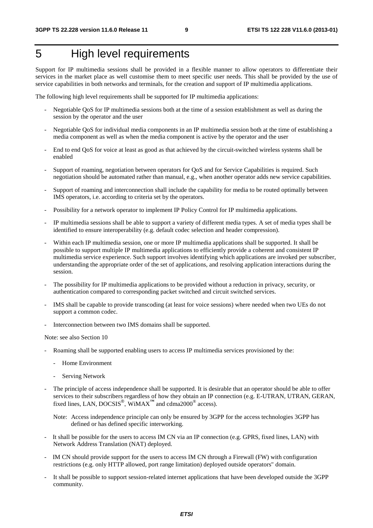## 5 High level requirements

Support for IP multimedia sessions shall be provided in a flexible manner to allow operators to differentiate their services in the market place as well customise them to meet specific user needs. This shall be provided by the use of service capabilities in both networks and terminals, for the creation and support of IP multimedia applications.

The following high level requirements shall be supported for IP multimedia applications:

- Negotiable QoS for IP multimedia sessions both at the time of a session establishment as well as during the session by the operator and the user
- Negotiable QoS for individual media components in an IP multimedia session both at the time of establishing a media component as well as when the media component is active by the operator and the user
- End to end QoS for voice at least as good as that achieved by the circuit-switched wireless systems shall be enabled
- Support of roaming, negotiation between operators for QoS and for Service Capabilities is required. Such negotiation should be automated rather than manual, e.g., when another operator adds new service capabilities.
- Support of roaming and interconnection shall include the capability for media to be routed optimally between IMS operators, i.e. according to criteria set by the operators.
- Possibility for a network operator to implement IP Policy Control for IP multimedia applications.
- IP multimedia sessions shall be able to support a variety of different media types. A set of media types shall be identified to ensure interoperability (e.g. default codec selection and header compression).
- Within each IP multimedia session, one or more IP multimedia applications shall be supported. It shall be possible to support multiple IP multimedia applications to efficiently provide a coherent and consistent IP multimedia service experience. Such support involves identifying which applications are invoked per subscriber, understanding the appropriate order of the set of applications, and resolving application interactions during the session.
- The possibility for IP multimedia applications to be provided without a reduction in privacy, security, or authentication compared to corresponding packet switched and circuit switched services.
- IMS shall be capable to provide transcoding (at least for voice sessions) where needed when two UEs do not support a common codec.
- Interconnection between two IMS domains shall be supported.

Note: see also Section 10

- Roaming shall be supported enabling users to access IP multimedia services provisioned by the:
	- Home Environment
	- Serving Network
- The principle of access independence shall be supported. It is desirable that an operator should be able to offer services to their subscribers regardless of how they obtain an IP connection (e.g. E-UTRAN, UTRAN, GERAN, fixed lines, LAN, DOCSIS®, WiMAX**™** and cdma2000® access).

Note: Access independence principle can only be ensured by 3GPP for the access technologies 3GPP has defined or has defined specific interworking.

- It shall be possible for the users to access IM CN via an IP connection (e.g. GPRS, fixed lines, LAN) with Network Address Translation (NAT) deployed.
- IM CN should provide support for the users to access IM CN through a Firewall (FW) with configuration restrictions (e.g. only HTTP allowed, port range limitation) deployed outside operators" domain.
- It shall be possible to support session-related internet applications that have been developed outside the 3GPP community.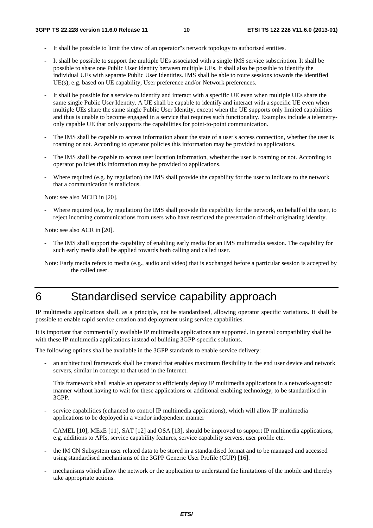- It shall be possible to limit the view of an operator"s network topology to authorised entities.
- It shall be possible to support the multiple UEs associated with a single IMS service subscription. It shall be possible to share one Public User Identity between multiple UEs. It shall also be possible to identify the individual UEs with separate Public User Identities. IMS shall be able to route sessions towards the identified UE(s), e.g. based on UE capability, User preference and/or Network preferences.
- It shall be possible for a service to identify and interact with a specific UE even when multiple UEs share the same single Public User Identity. A UE shall be capable to identify and interact with a specific UE even when multiple UEs share the same single Public User Identity, except when the UE supports only limited capabilities and thus is unable to become engaged in a service that requires such functionality. Examples include a telemetryonly capable UE that only supports the capabilities for point-to-point communication.
- The IMS shall be capable to access information about the state of a user's access connection, whether the user is roaming or not. According to operator policies this information may be provided to applications.
- The IMS shall be capable to access user location information, whether the user is roaming or not. According to operator policies this information may be provided to applications.
- Where required (e.g. by regulation) the IMS shall provide the capability for the user to indicate to the network that a communication is malicious.

Note: see also MCID in [20].

Where required (e.g. by regulation) the IMS shall provide the capability for the network, on behalf of the user, to reject incoming communications from users who have restricted the presentation of their originating identity.

Note: see also ACR in [20].

- The IMS shall support the capability of enabling early media for an IMS multimedia session. The capability for such early media shall be applied towards both calling and called user.
- Note: Early media refers to media (e.g., audio and video) that is exchanged before a particular session is accepted by the called user.

### 6 Standardised service capability approach

IP multimedia applications shall, as a principle, not be standardised, allowing operator specific variations. It shall be possible to enable rapid service creation and deployment using service capabilities.

It is important that commercially available IP multimedia applications are supported. In general compatibility shall be with these IP multimedia applications instead of building 3GPP-specific solutions.

The following options shall be available in the 3GPP standards to enable service delivery:

an architectural framework shall be created that enables maximum flexibility in the end user device and network servers, similar in concept to that used in the Internet.

This framework shall enable an operator to efficiently deploy IP multimedia applications in a network-agnostic manner without having to wait for these applications or additional enabling technology, to be standardised in 3GPP.

service capabilities (enhanced to control IP multimedia applications), which will allow IP multimedia applications to be deployed in a vendor independent manner

CAMEL [10], MExE [11], SAT [12] and OSA [13], should be improved to support IP multimedia applications, e.g. additions to APIs, service capability features, service capability servers, user profile etc.

- the IM CN Subsystem user related data to be stored in a standardised format and to be managed and accessed using standardised mechanisms of the 3GPP Generic User Profile (GUP) [16].
- mechanisms which allow the network or the application to understand the limitations of the mobile and thereby take appropriate actions.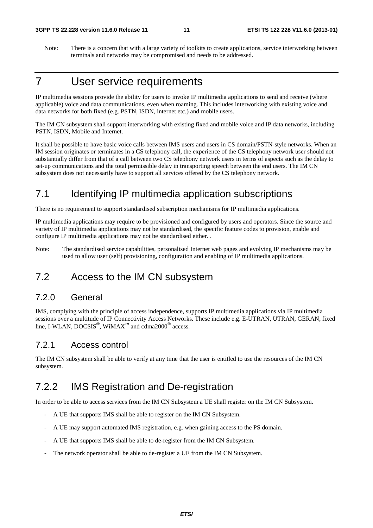Note: There is a concern that with a large variety of toolkits to create applications, service interworking between terminals and networks may be compromised and needs to be addressed.

## 7 User service requirements

IP multimedia sessions provide the ability for users to invoke IP multimedia applications to send and receive (where applicable) voice and data communications, even when roaming. This includes interworking with existing voice and data networks for both fixed (e.g. PSTN, ISDN, internet etc.) and mobile users.

The IM CN subsystem shall support interworking with existing fixed and mobile voice and IP data networks, including PSTN, ISDN, Mobile and Internet.

It shall be possible to have basic voice calls between IMS users and users in CS domain/PSTN-style networks. When an IM session originates or terminates in a CS telephony call, the experience of the CS telephony network user should not substantially differ from that of a call between two CS telephony network users in terms of aspects such as the delay to set-up communications and the total permissible delay in transporting speech between the end users. The IM CN subsystem does not necessarily have to support all services offered by the CS telephony network.

### 7.1 Identifying IP multimedia application subscriptions

There is no requirement to support standardised subscription mechanisms for IP multimedia applications.

IP multimedia applications may require to be provisioned and configured by users and operators. Since the source and variety of IP multimedia applications may not be standardised, the specific feature codes to provision, enable and configure IP multimedia applications may not be standardised either. .

Note: The standardised service capabilities, personalised Internet web pages and evolving IP mechanisms may be used to allow user (self) provisioning, configuration and enabling of IP multimedia applications.

#### 7.2 Access to the IM CN subsystem

#### 7.2.0 General

IMS, complying with the principle of access independence, supports IP multimedia applications via IP multimedia sessions over a multitude of IP Connectivity Access Networks. These include e.g. E-UTRAN, UTRAN, GERAN, fixed line, I-WLAN, DOCSIS<sup>®</sup>, WiMAX<sup>™</sup> and cdma2000<sup>®</sup> access.

#### 7.2.1 Access control

The IM CN subsystem shall be able to verify at any time that the user is entitled to use the resources of the IM CN subsystem.

### 7.2.2 IMS Registration and De-registration

In order to be able to access services from the IM CN Subsystem a UE shall register on the IM CN Subsystem.

- A UE that supports IMS shall be able to register on the IM CN Subsystem.
- A UE may support automated IMS registration, e.g. when gaining access to the PS domain.
- A UE that supports IMS shall be able to de-register from the IM CN Subsystem.
- The network operator shall be able to de-register a UE from the IM CN Subsystem.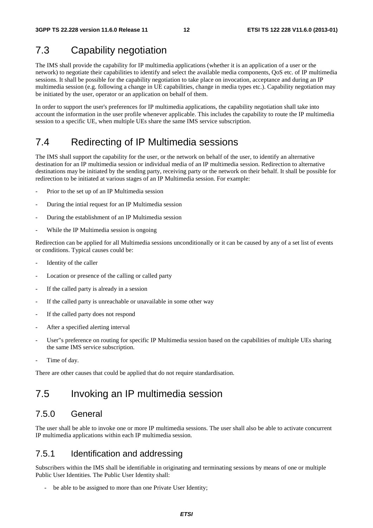## 7.3 Capability negotiation

The IMS shall provide the capability for IP multimedia applications (whether it is an application of a user or the network) to negotiate their capabilities to identify and select the available media components, QoS etc. of IP multimedia sessions. It shall be possible for the capability negotiation to take place on invocation, acceptance and during an IP multimedia session (e.g. following a change in UE capabilities, change in media types etc.). Capability negotiation may be initiated by the user, operator or an application on behalf of them.

In order to support the user's preferences for IP multimedia applications, the capability negotiation shall take into account the information in the user profile whenever applicable. This includes the capability to route the IP multimedia session to a specific UE, when multiple UEs share the same IMS service subscription.

## 7.4 Redirecting of IP Multimedia sessions

The IMS shall support the capability for the user, or the network on behalf of the user, to identify an alternative destination for an IP multimedia session or individual media of an IP multimedia session. Redirection to alternative destinations may be initiated by the sending party, receiving party or the network on their behalf. It shall be possible for redirection to be initiated at various stages of an IP Multimedia session. For example:

- Prior to the set up of an IP Multimedia session
- During the intial request for an IP Multimedia session
- During the establishment of an IP Multimedia session
- While the IP Multimedia session is ongoing

Redirection can be applied for all Multimedia sessions unconditionally or it can be caused by any of a set list of events or conditions. Typical causes could be:

- Identity of the caller
- Location or presence of the calling or called party
- If the called party is already in a session
- If the called party is unreachable or unavailable in some other way
- If the called party does not respond
- After a specified alerting interval
- User"s preference on routing for specific IP Multimedia session based on the capabilities of multiple UEs sharing the same IMS service subscription.
- Time of day.

There are other causes that could be applied that do not require standardisation.

## 7.5 Invoking an IP multimedia session

#### 7.5.0 General

The user shall be able to invoke one or more IP multimedia sessions. The user shall also be able to activate concurrent IP multimedia applications within each IP multimedia session.

#### 7.5.1 Identification and addressing

Subscribers within the IMS shall be identifiable in originating and terminating sessions by means of one or multiple Public User Identities. The Public User Identity shall:

be able to be assigned to more than one Private User Identity;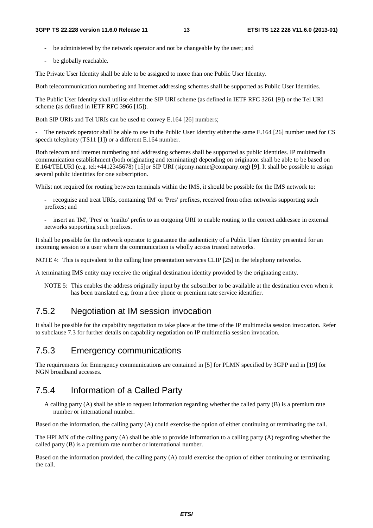- be administered by the network operator and not be changeable by the user; and
- be globally reachable.

The Private User Identity shall be able to be assigned to more than one Public User Identity.

Both telecommunication numbering and Internet addressing schemes shall be supported as Public User Identities.

The Public User Identity shall utilise either the SIP URI scheme (as defined in IETF RFC 3261 [9]) or the Tel URI scheme (as defined in IETF RFC 3966 [15]).

Both SIP URIs and Tel URIs can be used to convey E.164 [26] numbers;

The network operator shall be able to use in the Public User Identity either the same E.164 [26] number used for CS speech telephony (TS11 [1]) or a different E.164 number.

Both telecom and internet numbering and addressing schemes shall be supported as public identities. IP multimedia communication establishment (both originating and terminating) depending on originator shall be able to be based on E.164/TELURI (e.g. tel:+4412345678) [15]or SIP URI (sip:my.name@company.org) [9]. It shall be possible to assign several public identities for one subscription.

Whilst not required for routing between terminals within the IMS, it should be possible for the IMS network to:

- recognise and treat URIs, containing 'IM' or 'Pres' prefixes, received from other networks supporting such prefixes; and
- insert an 'IM', 'Pres' or 'mailto' prefix to an outgoing URI to enable routing to the correct addressee in external networks supporting such prefixes.

It shall be possible for the network operator to guarantee the authenticity of a Public User Identity presented for an incoming session to a user where the communication is wholly across trusted networks.

NOTE 4: This is equivalent to the calling line presentation services CLIP [25] in the telephony networks.

A terminating IMS entity may receive the original destination identity provided by the originating entity.

NOTE 5: This enables the address originally input by the subscriber to be available at the destination even when it has been translated e.g. from a free phone or premium rate service identifier.

#### 7.5.2 Negotiation at IM session invocation

It shall be possible for the capability negotiation to take place at the time of the IP multimedia session invocation. Refer to subclause 7.3 for further details on capability negotiation on IP multimedia session invocation.

#### 7.5.3 Emergency communications

The requirements for Emergency communications are contained in [5] for PLMN specified by 3GPP and in [19] for NGN broadband accesses.

#### 7.5.4 Information of a Called Party

A calling party (A) shall be able to request information regarding whether the called party (B) is a premium rate number or international number.

Based on the information, the calling party (A) could exercise the option of either continuing or terminating the call.

The HPLMN of the calling party (A) shall be able to provide information to a calling party (A) regarding whether the called party (B) is a premium rate number or international number.

Based on the information provided, the calling party (A) could exercise the option of either continuing or terminating the call.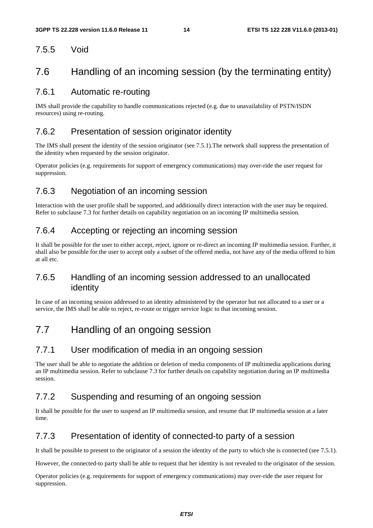#### 7.5.5 Void

### 7.6 Handling of an incoming session (by the terminating entity)

#### 7.6.1 Automatic re-routing

IMS shall provide the capability to handle communications rejected (e.g. due to unavailability of PSTN/ISDN resources) using re-routing.

#### 7.6.2 Presentation of session originator identity

The IMS shall present the identity of the session originator (see 7.5.1).The network shall suppress the presentation of the identity when requested by the session originator.

Operator policies (e.g. requirements for support of emergency communications) may over-ride the user request for suppression.

#### 7.6.3 Negotiation of an incoming session

Interaction with the user profile shall be supported, and additionally direct interaction with the user may be required. Refer to subclause 7.3 for further details on capability negotiation on an incoming IP multimedia session.

#### 7.6.4 Accepting or rejecting an incoming session

It shall be possible for the user to either accept, reject, ignore or re-direct an incoming IP multimedia session. Further, it shall also be possible for the user to accept only a subset of the offered media, not have any of the media offered to him at all etc.

#### 7.6.5 Handling of an incoming session addressed to an unallocated identity

In case of an incoming session addressed to an identity administered by the operator but not allocated to a user or a service, the IMS shall be able to reject, re-route or trigger service logic to that incoming session.

### 7.7 Handling of an ongoing session

#### 7.7.1 User modification of media in an ongoing session

The user shall be able to negotiate the addition or deletion of media components of IP multimedia applications during an IP multimedia session. Refer to subclause 7.3 for further details on capability negotiation during an IP multimedia session.

#### 7.7.2 Suspending and resuming of an ongoing session

It shall be possible for the user to suspend an IP multimedia session, and resume that IP multimedia session at a later time.

#### 7.7.3 Presentation of identity of connected-to party of a session

It shall be possible to present to the originator of a session the identity of the party to which she is connected (see 7.5.1).

However, the connected-to party shall be able to request that her identity is not revealed to the originator of the session.

Operator policies (e.g. requirements for support of emergency communications) may over-ride the user request for suppression.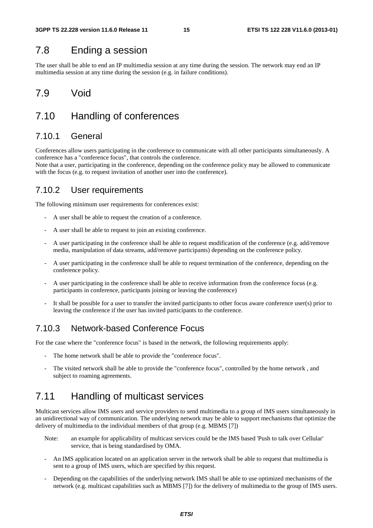### 7.8 Ending a session

The user shall be able to end an IP multimedia session at any time during the session. The network may end an IP multimedia session at any time during the session (e.g. in failure conditions).

### 7.9 Void

### 7.10 Handling of conferences

#### 7.10.1 General

Conferences allow users participating in the conference to communicate with all other participants simultaneously. A conference has a "conference focus", that controls the conference.

Note that a user, participating in the conference, depending on the conference policy may be allowed to communicate with the focus (e.g. to request invitation of another user into the conference).

#### 7.10.2 User requirements

The following minimum user requirements for conferences exist:

- A user shall be able to request the creation of a conference.
- A user shall be able to request to join an existing conference.
- A user participating in the conference shall be able to request modification of the conference (e.g. add/remove media, manipulation of data streams, add/remove participants) depending on the conference policy.
- A user participating in the conference shall be able to request termination of the conference, depending on the conference policy.
- A user participating in the conference shall be able to receive information from the conference focus (e.g. participants in conference, participants joining or leaving the conference)
- It shall be possible for a user to transfer the invited participants to other focus aware conference user(s) prior to leaving the conference if the user has invited participants to the conference.

#### 7.10.3 Network-based Conference Focus

For the case where the "conference focus" is based in the network, the following requirements apply:

- The home network shall be able to provide the "conference focus".
- The visited network shall be able to provide the "conference focus", controlled by the home network, and subject to roaming agreements.

### 7.11 Handling of multicast services

Multicast services allow IMS users and service providers to send multimedia to a group of IMS users simultaneously in an unidirectional way of communication. The underlying network may be able to support mechanisms that optimize the delivery of multimedia to the individual members of that group (e.g. MBMS [7])

- Note: an example for applicability of multicast services could be the IMS based 'Push to talk over Cellular' service, that is being standardised by OMA.
- An IMS application located on an application server in the network shall be able to request that multimedia is sent to a group of IMS users, which are specified by this request.
- Depending on the capabilities of the underlying network IMS shall be able to use optimized mechanisms of the network (e.g. multicast capabilities such as MBMS [7]) for the delivery of multimedia to the group of IMS users.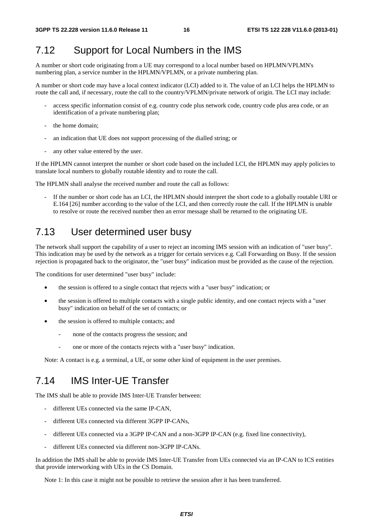#### 7.12 Support for Local Numbers in the IMS

A number or short code originating from a UE may correspond to a local number based on HPLMN/VPLMN's numbering plan, a service number in the HPLMN/VPLMN, or a private numbering plan.

A number or short code may have a local context indicator (LCI) added to it. The value of an LCI helps the HPLMN to route the call and, if necessary, route the call to the country/VPLMN/private network of origin. The LCI may include:

- access specific information consist of e.g. country code plus network code, country code plus area code, or an identification of a private numbering plan;
- the home domain;
- an indication that UE does not support processing of the dialled string; or
- any other value entered by the user.

If the HPLMN cannot interpret the number or short code based on the included LCI, the HPLMN may apply policies to translate local numbers to globally routable identity and to route the call.

The HPLMN shall analyse the received number and route the call as follows:

If the number or short code has an LCI, the HPLMN should interpret the short code to a globally routable URI or E.164 [26] number according to the value of the LCI, and then correctly route the call. If the HPLMN is unable to resolve or route the received number then an error message shall be returned to the originating UE.

### 7.13 User determined user busy

The network shall support the capability of a user to reject an incoming IMS session with an indication of "user busy". This indication may be used by the network as a trigger for certain services e.g. Call Forwarding on Busy. If the session rejection is propagated back to the originator, the "user busy" indication must be provided as the cause of the rejection.

The conditions for user determined "user busy" include:

- the session is offered to a single contact that rejects with a "user busy" indication; or
- the session is offered to multiple contacts with a single public identity, and one contact rejects with a "user busy" indication on behalf of the set of contacts; or
- the session is offered to multiple contacts; and
	- none of the contacts progress the session; and
	- one or more of the contacts rejects with a "user busy" indication.

Note: A contact is e.g. a terminal, a UE, or some other kind of equipment in the user premises.

#### 7.14 IMS Inter-UE Transfer

The IMS shall be able to provide IMS Inter-UE Transfer between:

- different UEs connected via the same IP-CAN,
- different UEs connected via different 3GPP IP-CANs,
- different UEs connected via a 3GPP IP-CAN and a non-3GPP IP-CAN (e.g. fixed line connectivity),
- different UEs connected via different non-3GPP IP-CANs.

In addition the IMS shall be able to provide IMS Inter-UE Transfer from UEs connected via an IP-CAN to ICS entities that provide interworking with UEs in the CS Domain.

Note 1: In this case it might not be possible to retrieve the session after it has been transferred.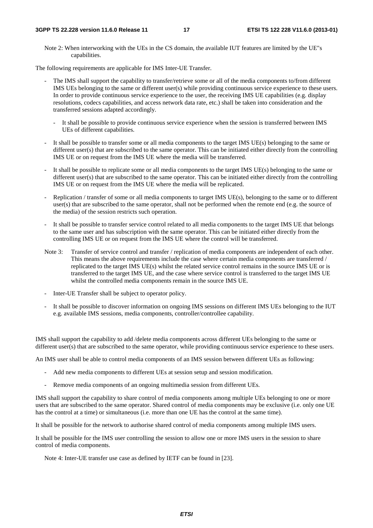#### **3GPP TS 22.228 version 11.6.0 Release 11 17 ETSI TS 122 228 V11.6.0 (2013-01)**

Note 2: When interworking with the UEs in the CS domain, the available IUT features are limited by the UE"s capabilities.

The following requirements are applicable for IMS Inter-UE Transfer.

- The IMS shall support the capability to transfer/retrieve some or all of the media components to/from different IMS UEs belonging to the same or different user(s) while providing continuous service experience to these users. In order to provide continuous service experience to the user, the receiving IMS UE capabilities (e.g. display resolutions, codecs capabilities, and access network data rate, etc.) shall be taken into consideration and the transferred sessions adapted accordingly.
	- It shall be possible to provide continuous service experience when the session is transferred between IMS UEs of different capabilities.
- It shall be possible to transfer some or all media components to the target IMS UE(s) belonging to the same or different user(s) that are subscribed to the same operator. This can be initiated either directly from the controlling IMS UE or on request from the IMS UE where the media will be transferred.
- It shall be possible to replicate some or all media components to the target IMS UE(s) belonging to the same or different user(s) that are subscribed to the same operator. This can be initiated either directly from the controlling IMS UE or on request from the IMS UE where the media will be replicated.
- Replication / transfer of some or all media components to target IMS UE(s), belonging to the same or to different user(s) that are subscribed to the same operator, shall not be performed when the remote end (e.g. the source of the media) of the session restricts such operation.
- It shall be possible to transfer service control related to all media components to the target IMS UE that belongs to the same user and has subscription with the same operator. This can be initiated either directly from the controlling IMS UE or on request from the IMS UE where the control will be transferred.
- Note 3: Transfer of service control and transfer / replication of media components are independent of each other. This means the above requirements include the case where certain media components are transferred / replicated to the target IMS UE(s) whilst the related service control remains in the source IMS UE or is transferred to the target IMS UE, and the case where service control is transferred to the target IMS UE whilst the controlled media components remain in the source IMS UE.
- Inter-UE Transfer shall be subject to operator policy.
- It shall be possible to discover information on ongoing IMS sessions on different IMS UEs belonging to the IUT e.g. available IMS sessions, media components, controller/controllee capability.

IMS shall support the capability to add /delete media components across different UEs belonging to the same or different user(s) that are subscribed to the same operator, while providing continuous service experience to these users.

An IMS user shall be able to control media components of an IMS session between different UEs as following:

- Add new media components to different UEs at session setup and session modification.
- Remove media components of an ongoing multimedia session from different UEs.

IMS shall support the capability to share control of media components among multiple UEs belonging to one or more users that are subscribed to the same operator. Shared control of media components may be exclusive (i.e. only one UE has the control at a time) or simultaneous (i.e. more than one UE has the control at the same time).

It shall be possible for the network to authorise shared control of media components among multiple IMS users.

It shall be possible for the IMS user controlling the session to allow one or more IMS users in the session to share control of media components.

Note 4: Inter-UE transfer use case as defined by IETF can be found in [23].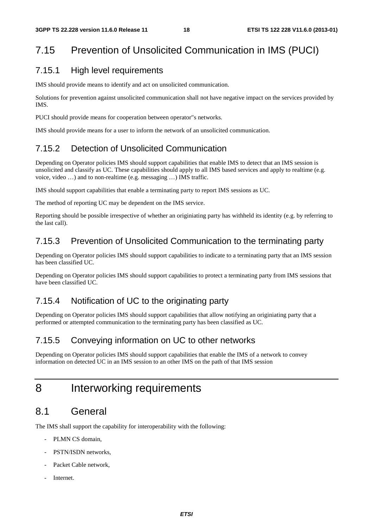## 7.15 Prevention of Unsolicited Communication in IMS (PUCI)

#### 7.15.1 High level requirements

IMS should provide means to identify and act on unsolicited communication.

Solutions for prevention against unsolicited communication shall not have negative impact on the services provided by IMS.

PUCI should provide means for cooperation between operator"s networks.

IMS should provide means for a user to inform the network of an unsolicited communication.

#### 7.15.2 Detection of Unsolicited Communication

Depending on Operator policies IMS should support capabilities that enable IMS to detect that an IMS session is unsolicited and classify as UC. These capabilities should apply to all IMS based services and apply to realtime (e.g. voice, video …) and to non-realtime (e.g. messaging …) IMS traffic.

IMS should support capabilities that enable a terminating party to report IMS sessions as UC.

The method of reporting UC may be dependent on the IMS service.

Reporting should be possible irrespective of whether an originiating party has withheld its identity (e.g. by referring to the last call).

#### 7.15.3 Prevention of Unsolicited Communication to the terminating party

Depending on Operator policies IMS should support capabilities to indicate to a terminating party that an IMS session has been classified UC.

Depending on Operator policies IMS should support capabilities to protect a terminating party from IMS sessions that have been classified UC.

#### 7.15.4 Notification of UC to the originating party

Depending on Operator policies IMS should support capabilities that allow notifying an originiating party that a performed or attempted communication to the terminating party has been classified as UC.

#### 7.15.5 Conveying information on UC to other networks

Depending on Operator policies IMS should support capabilities that enable the IMS of a network to convey information on detected UC in an IMS session to an other IMS on the path of that IMS session

## 8 Interworking requirements

### 8.1 General

The IMS shall support the capability for interoperability with the following:

- PLMN CS domain,
- PSTN/ISDN networks.
- Packet Cable network.
- **Internet**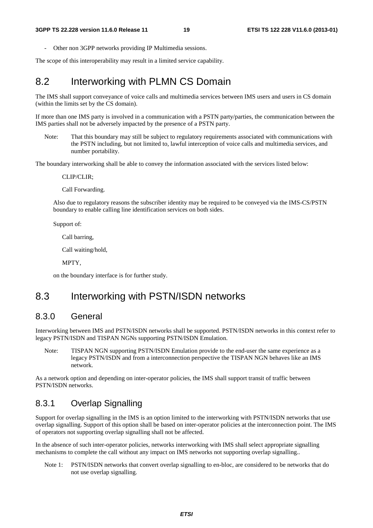- Other non 3GPP networks providing IP Multimedia sessions.

The scope of this interoperability may result in a limited service capability.

### 8.2 Interworking with PLMN CS Domain

The IMS shall support conveyance of voice calls and multimedia services between IMS users and users in CS domain (within the limits set by the CS domain).

If more than one IMS party is involved in a communication with a PSTN party/parties, the communication between the IMS parties shall not be adversely impacted by the presence of a PSTN party.

Note: That this boundary may still be subject to regulatory requirements associated with communications with the PSTN including, but not limited to, lawful interception of voice calls and multimedia services, and number portability.

The boundary interworking shall be able to convey the information associated with the services listed below:

CLIP/CLIR;

Call Forwarding.

Also due to regulatory reasons the subscriber identity may be required to be conveyed via the IMS-CS/PSTN boundary to enable calling line identification services on both sides.

Support of:

Call barring,

Call waiting/hold,

MPTY,

on the boundary interface is for further study.

#### 8.3 Interworking with PSTN/ISDN networks

#### 8.3.0 General

Interworking between IMS and PSTN/ISDN networks shall be supported. PSTN/ISDN networks in this context refer to legacy PSTN/ISDN and TISPAN NGNs supporting PSTN/ISDN Emulation.

Note: TISPAN NGN supporting PSTN/ISDN Emulation provide to the end-user the same experience as a legacy PSTN/ISDN and from a interconnection perspective the TISPAN NGN behaves like an IMS network.

As a network option and depending on inter-operator policies, the IMS shall support transit of traffic between PSTN/ISDN networks.

#### 8.3.1 Overlap Signalling

Support for overlap signalling in the IMS is an option limited to the interworking with PSTN/ISDN networks that use overlap signalling. Support of this option shall be based on inter-operator policies at the interconnection point. The IMS of operators not supporting overlap signalling shall not be affected.

In the absence of such inter-operator policies, networks interworking with IMS shall select appropriate signalling mechanisms to complete the call without any impact on IMS networks not supporting overlap signalling..

Note 1: PSTN/ISDN networks that convert overlap signalling to en-bloc, are considered to be networks that do not use overlap signalling.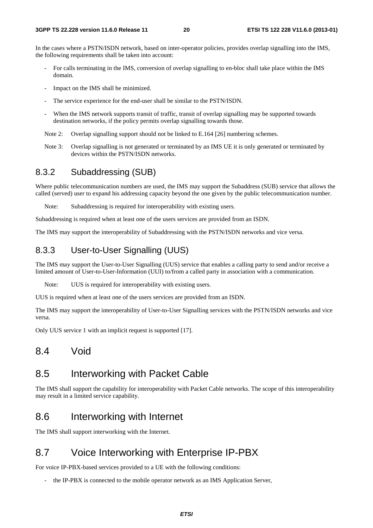In the cases where a PSTN/ISDN network, based on inter-operator policies, provides overlap signalling into the IMS, the following requirements shall be taken into account:

- For calls terminating in the IMS, conversion of overlap signalling to en-bloc shall take place within the IMS domain.
- Impact on the IMS shall be minimized.
- The service experience for the end-user shall be similar to the PSTN/ISDN.
- When the IMS network supports transit of traffic, transit of overlap signalling may be supported towards destination networks, if the policy permits overlap signalling towards those.

Note 2: Overlap signalling support should not be linked to E.164 [26] numbering schemes.

Note 3: Overlap signalling is not generated or terminated by an IMS UE it is only generated or terminated by devices within the PSTN/ISDN networks.

#### 8.3.2 Subaddressing (SUB)

Where public telecommunication numbers are used, the IMS may support the Subaddress (SUB) service that allows the called (served) user to expand his addressing capacity beyond the one given by the public telecommunication number.

Note: Subaddressing is required for interoperability with existing users.

Subaddressing is required when at least one of the users services are provided from an ISDN.

The IMS may support the interoperability of Subaddressing with the PSTN/ISDN networks and vice versa.

#### 8.3.3 User-to-User Signalling (UUS)

The IMS may support the User-to-User Signalling (UUS) service that enables a calling party to send and/or receive a limited amount of User-to-User-Information (UUI) to/from a called party in association with a communication.

Note: UUS is required for interoperability with existing users.

UUS is required when at least one of the users services are provided from an ISDN.

The IMS may support the interoperability of User-to-User Signalling services with the PSTN/ISDN networks and vice versa.

Only UUS service 1 with an implicit request is supported [17].

#### 8.4 Void

#### 8.5 Interworking with Packet Cable

The IMS shall support the capability for interoperability with Packet Cable networks. The scope of this interoperability may result in a limited service capability.

#### 8.6 Interworking with Internet

The IMS shall support interworking with the Internet.

### 8.7 Voice Interworking with Enterprise IP-PBX

For voice IP-PBX-based services provided to a UE with the following conditions:

the IP-PBX is connected to the mobile operator network as an IMS Application Server,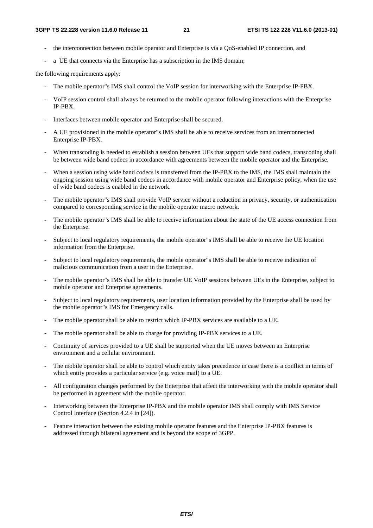- the interconnection between mobile operator and Enterprise is via a QoS-enabled IP connection, and
- a UE that connects via the Enterprise has a subscription in the IMS domain;

the following requirements apply:

- The mobile operator"s IMS shall control the VoIP session for interworking with the Enterprise IP-PBX.
- VoIP session control shall always be returned to the mobile operator following interactions with the Enterprise IP-PBX.
- Interfaces between mobile operator and Enterprise shall be secured.
- A UE provisioned in the mobile operator"s IMS shall be able to receive services from an interconnected Enterprise IP-PBX.
- When transcoding is needed to establish a session between UEs that support wide band codecs, transcoding shall be between wide band codecs in accordance with agreements between the mobile operator and the Enterprise.
- When a session using wide band codecs is transferred from the IP-PBX to the IMS, the IMS shall maintain the ongoing session using wide band codecs in accordance with mobile operator and Enterprise policy, when the use of wide band codecs is enabled in the network.
- The mobile operator"s IMS shall provide VoIP service without a reduction in privacy, security, or authentication compared to corresponding service in the mobile operator macro network.
- The mobile operator"s IMS shall be able to receive information about the state of the UE access connection from the Enterprise.
- Subject to local regulatory requirements, the mobile operator"s IMS shall be able to receive the UE location information from the Enterprise.
- Subject to local regulatory requirements, the mobile operator"s IMS shall be able to receive indication of malicious communication from a user in the Enterprise.
- The mobile operator"s IMS shall be able to transfer UE VoIP sessions between UEs in the Enterprise, subject to mobile operator and Enterprise agreements.
- Subject to local regulatory requirements, user location information provided by the Enterprise shall be used by the mobile operator"s IMS for Emergency calls.
- The mobile operator shall be able to restrict which IP-PBX services are available to a UE.
- The mobile operator shall be able to charge for providing IP-PBX services to a UE.
- Continuity of services provided to a UE shall be supported when the UE moves between an Enterprise environment and a cellular environment.
- The mobile operator shall be able to control which entity takes precedence in case there is a conflict in terms of which entity provides a particular service (e.g. voice mail) to a UE.
- All configuration changes performed by the Enterprise that affect the interworking with the mobile operator shall be performed in agreement with the mobile operator.
- Interworking between the Enterprise IP-PBX and the mobile operator IMS shall comply with IMS Service Control Interface (Section 4.2.4 in [24]).
- Feature interaction between the existing mobile operator features and the Enterprise IP-PBX features is addressed through bilateral agreement and is beyond the scope of 3GPP.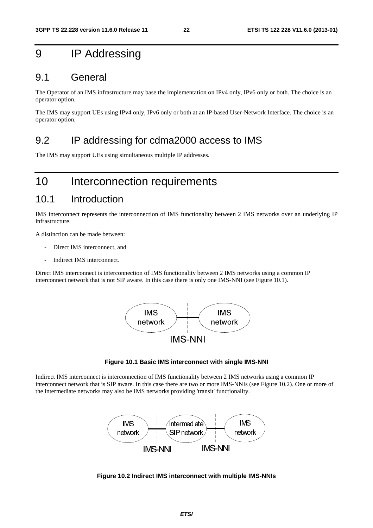## 9 IP Addressing

#### 9.1 General

The Operator of an IMS infrastructure may base the implementation on IPv4 only, IPv6 only or both. The choice is an operator option.

The IMS may support UEs using IPv4 only, IPv6 only or both at an IP-based User-Network Interface. The choice is an operator option.

#### 9.2 IP addressing for cdma2000 access to IMS

The IMS may support UEs using simultaneous multiple IP addresses.

## 10 Interconnection requirements

#### 10.1 Introduction

IMS interconnect represents the interconnection of IMS functionality between 2 IMS networks over an underlying IP infrastructure.

A distinction can be made between:

- Direct IMS interconnect, and
- Indirect IMS interconnect.

Direct IMS interconnect is interconnection of IMS functionality between 2 IMS networks using a common IP interconnect network that is not SIP aware. In this case there is only one IMS-NNI (see Figure 10.1).



#### **Figure 10.1 Basic IMS interconnect with single IMS-NNI**

Indirect IMS interconnect is interconnection of IMS functionality between 2 IMS networks using a common IP interconnect network that is SIP aware. In this case there are two or more IMS-NNIs (see Figure 10.2). One or more of the intermediate networks may also be IMS networks providing 'transit' functionality.



**Figure 10.2 Indirect IMS interconnect with multiple IMS-NNIs**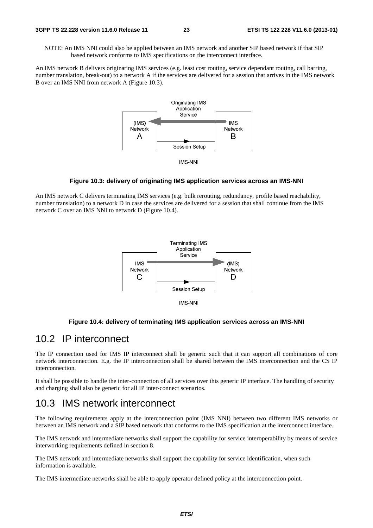NOTE: An IMS NNI could also be applied between an IMS network and another SIP based network if that SIP based network conforms to IMS specifications on the interconnect interface.

An IMS network B delivers originating IMS services (e.g. least cost routing, service dependant routing, call barring, number translation, break-out) to a network A if the services are delivered for a session that arrives in the IMS network B over an IMS NNI from network A (Figure 10.3).



**IMS-NNI** 

#### **Figure 10.3: delivery of originating IMS application services across an IMS-NNI**

An IMS network C delivers terminating IMS services (e.g. bulk rerouting, redundancy, profile based reachability, number translation) to a network D in case the services are delivered for a session that shall continue from the IMS network C over an IMS NNI to network D (Figure 10.4).



#### **Figure 10.4: delivery of terminating IMS application services across an IMS-NNI**

#### 10.2 IP interconnect

The IP connection used for IMS IP interconnect shall be generic such that it can support all combinations of core network interconnection. E.g. the IP interconnection shall be shared between the IMS interconnection and the CS IP interconnection.

It shall be possible to handle the inter-connection of all services over this generic IP interface. The handling of security and charging shall also be generic for all IP inter-connect scenarios.

#### 10.3 IMS network interconnect

The following requirements apply at the interconnection point (IMS NNI) between two different IMS networks or between an IMS network and a SIP based network that conforms to the IMS specification at the interconnect interface.

The IMS network and intermediate networks shall support the capability for service interoperability by means of service interworking requirements defined in section 8.

The IMS network and intermediate networks shall support the capability for service identification, when such information is available.

The IMS intermediate networks shall be able to apply operator defined policy at the interconnection point.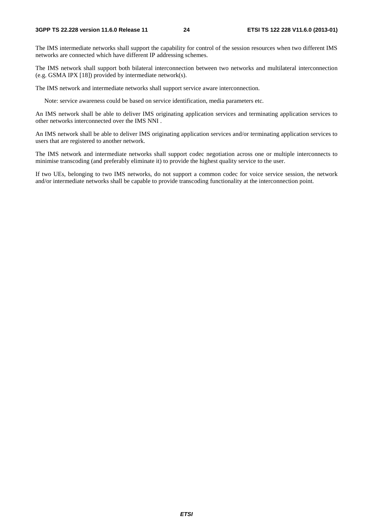The IMS intermediate networks shall support the capability for control of the session resources when two different IMS networks are connected which have different IP addressing schemes.

The IMS network shall support both bilateral interconnection between two networks and multilateral interconnection (e.g. GSMA IPX [18]) provided by intermediate network(s).

The IMS network and intermediate networks shall support service aware interconnection.

Note: service awareness could be based on service identification, media parameters etc.

An IMS network shall be able to deliver IMS originating application services and terminating application services to other networks interconnected over the IMS NNI .

An IMS network shall be able to deliver IMS originating application services and/or terminating application services to users that are registered to another network.

The IMS network and intermediate networks shall support codec negotiation across one or multiple interconnects to minimise transcoding (and preferably eliminate it) to provide the highest quality service to the user.

If two UEs, belonging to two IMS networks, do not support a common codec for voice service session, the network and/or intermediate networks shall be capable to provide transcoding functionality at the interconnection point.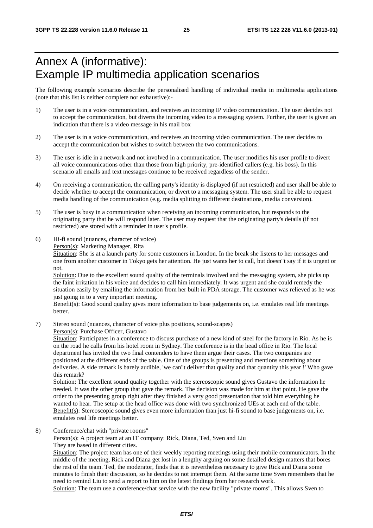## Annex A (informative): Example IP multimedia application scenarios

The following example scenarios describe the personalised handling of individual media in multimedia applications (note that this list is neither complete nor exhaustive):-

- 1) The user is in a voice communication, and receives an incoming IP video communication. The user decides not to accept the communication, but diverts the incoming video to a messaging system. Further, the user is given an indication that there is a video message in his mail box
- 2) The user is in a voice communication, and receives an incoming video communication. The user decides to accept the communication but wishes to switch between the two communications.
- 3) The user is idle in a network and not involved in a communication. The user modifies his user profile to divert all voice communications other than those from high priority, pre-identified callers (e.g. his boss). In this scenario all emails and text messages continue to be received regardless of the sender.
- 4) On receiving a communication, the calling party's identity is displayed (if not restricted) and user shall be able to decide whether to accept the communication, or divert to a messaging system. The user shall be able to request media handling of the communication (e.g. media splitting to different destinations, media conversion).
- 5) The user is busy in a communication when receiving an incoming communication, but responds to the originating party that he will respond later. The user may request that the originating party's details (if not restricted) are stored with a reminder in user's profile.
- 6) Hi-fi sound (nuances, character of voice)

Person(s): Marketing Manager, Rita

Situation: She is at a launch party for some customers in London. In the break she listens to her messages and one from another customer in Tokyo gets her attention. He just wants her to call, but doesn"t say if it is urgent or not.

Solution: Due to the excellent sound quality of the terminals involved and the messaging system, she picks up the faint irritation in his voice and decides to call him immediately. It was urgent and she could remedy the situation easily by emailing the information from her built in PDA storage. The customer was relieved as he was just going in to a very important meeting.

Benefit(s): Good sound quality gives more information to base judgements on, i.e. emulates real life meetings better.

7) Stereo sound (nuances, character of voice plus positions, sound-scapes)

Person(s): Purchase Officer, Gustavo

Situation: Participates in a conference to discuss purchase of a new kind of steel for the factory in Rio. As he is on the road he calls from his hotel room in Sydney. The conference is in the head office in Rio. The local department has invited the two final contenders to have them argue their cases. The two companies are positioned at the different ends of the table. One of the groups is presenting and mentions something about deliveries. A side remark is barely audible, 'we can"t deliver that quality and that quantity this year !' Who gave this remark?

Solution: The excellent sound quality together with the stereoscopic sound gives Gustavo the information he needed. It was the other group that gave the remark. The decision was made for him at that point. He gave the order to the presenting group right after they finished a very good presentation that told him everything he wanted to hear. The setup at the head office was done with two synchronized UEs at each end of the table. Benefit(s): Stereoscopic sound gives even more information than just hi-fi sound to base judgements on, i.e. emulates real life meetings better.

8) Conference/chat with "private rooms"

Person(s): A project team at an IT company: Rick, Diana, Ted, Sven and Liu They are based in different cities.

Situation: The project team has one of their weekly reporting meetings using their mobile communicators. In the middle of the meeting, Rick and Diana get lost in a lengthy arguing on some detailed design matters that bores the rest of the team. Ted, the moderator, finds that it is nevertheless necessary to give Rick and Diana some minutes to finish their discussion, so he decides to not interrupt them. At the same time Sven remembers that he need to remind Liu to send a report to him on the latest findings from her research work. Solution: The team use a conference/chat service with the new facility "private rooms". This allows Sven to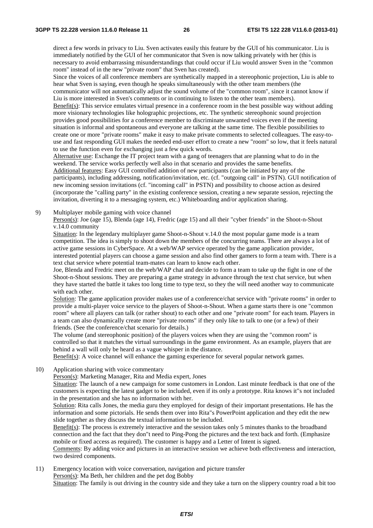direct a few words in privacy to Liu. Sven activates easily this feature by the GUI of his communicator. Liu is immediately notified by the GUI of her communicator that Sven is now talking privately with her (this is necessary to avoid embarrassing misunderstandings that could occur if Liu would answer Sven in the "common room" instead of in the new "private room" that Sven has created).

Since the voices of all conference members are synthetically mapped in a stereophonic projection, Liu is able to hear what Sven is saying, even though he speaks simultaneously with the other team members (the communicator will not automatically adjust the sound volume of the "common room", since it cannot know if

Liu is more interested in Sven's comments or in continuing to listen to the other team members).

Benefit(s): This service emulates virtual presence in a conference room in the best possible way without adding more visionary technologies like holographic projections, etc. The synthetic stereophonic sound projection provides good possibilities for a conference member to discriminate unwanted voices even if the meeting situation is informal and spontaneous and everyone are talking at the same time. The flexible possibilities to create one or more "private rooms" make it easy to make private comments to selected colleagues. The easy-touse and fast responding GUI makes the needed end-user effort to create a new "room" so low, that it feels natural to use the function even for exchanging just a few quick words.

Alternative use: Exchange the IT project team with a gang of teenagers that are planning what to do in the weekend. The service works perfectly well also in that scenario and provides the same benefits. Additional features: Easy GUI controlled addition of new participants (can be initiated by any of the participants), including addressing, notification/invitation, etc. (cf. "outgoing call" in PSTN). GUI notification of new incoming session invitations (cf. "incoming call" in PSTN) and possibility to choose action as desired (incorporate the "calling party" in the existing conference session, creating a new separate session, rejecting the invitation, diverting it to a messaging system, etc.) Whiteboarding and/or application sharing.

9) Multiplayer mobile gaming with voice channel

Person(s): Joe (age 15), Blenda (age 14), Fredric (age 15) and all their "cyber friends" in the Shoot-n-Shout v.14.0 community

Situation: In the legendary multiplayer game Shoot-n-Shout v.14.0 the most popular game mode is a team competition. The idea is simply to shoot down the members of the concurring teams. There are always a lot of active game sessions in CyberSpace. At a web/WAP service operated by the game application provider, interested potential players can choose a game session and also find other gamers to form a team with. There is a text chat service where potential team-mates can learn to know each other.

Joe, Blenda and Fredric meet on the web/WAP chat and decide to form a team to take up the fight in one of the Shoot-n-Shout sessions. They are preparing a game strategy in advance through the text chat service, but when they have started the battle it takes too long time to type text, so they the will need another way to communicate with each other.

Solution: The game application provider makes use of a conference/chat service with "private rooms" in order to provide a multi-player voice service to the players of Shoot-n-Shout. When a game starts there is one "common room" where all players can talk (or rather shout) to each other and one "private room" for each team. Players in a team can also dynamically create more "private rooms" if they only like to talk to one (or a few) of their friends. (See the conference/chat scenario for details.)

The volume (and stereophonic position) of the players voices when they are using the "common room" is controlled so that it matches the virtual surroundings in the game environment. As an example, players that are behind a wall will only be heard as a vague whisper in the distance.

Benefit(s): A voice channel will enhance the gaming experience for several popular network games.

10) Application sharing with voice commentary

Person(s): Marketing Manager, Rita and Media expert, Jones

Situation: The launch of a new campaign for some customers in London. Last minute feedback is that one of the customers is expecting the latest gadget to be included, even if its only a prototype. Rita knows it"s not included in the presentation and she has no information with her.

Solution: Rita calls Jones, the media guru they employed for design of their important presentations. He has the information and some pictorials. He sends them over into Rita"s PowerPoint application and they edit the new slide together as they discuss the textual information to be included.

Benefit(s): The process is extremely interactive and the session takes only 5 minutes thanks to the broadband connection and the fact that they don"t need to Ping-Pong the pictures and the text back and forth. (Emphasize mobile or fixed access as required). The customer is happy and a Letter of Intent is signed.

Comments: By adding voice and pictures in an interactive session we achieve both effectiveness and interaction, two desired components.

11) Emergency location with voice conversation, navigation and picture transfer Person(s): Ma Beth, her children and the pet dog Bobby Situation: The family is out driving in the country side and they take a turn on the slippery country road a bit too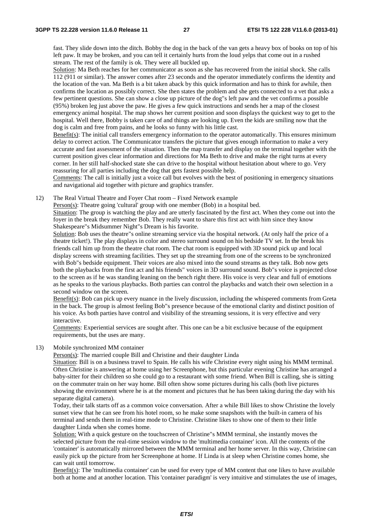fast. They slide down into the ditch. Bobby the dog in the back of the van gets a heavy box of books on top of his left paw. It may be broken, and you can tell it certainly hurts from the loud yelps that come out in a rushed stream. The rest of the family is ok. They were all buckled up.

Solution: Ma Beth reaches for her communicator as soon as she has recovered from the initial shock. She calls 112 (911 or similar). The answer comes after 23 seconds and the operator immediately confirms the identity and the location of the van. Ma Beth is a bit taken aback by this quick information and has to think for awhile, then confirms the location as possibly correct. She then states the problem and she gets connected to a vet that asks a few pertinent questions. She can show a close up picture of the dog"s left paw and the vet confirms a possible (95%) broken leg just above the paw. He gives a few quick instructions and sends her a map of the closest emergency animal hospital. The map shows her current position and soon displays the quickest way to get to the hospital. Well there, Bobby is taken care of and things are looking up. Even the kids are smiling now that the dog is calm and free from pains, and he looks so funny with his little cast.

Benefit(s): The initial call transfers emergency information to the operator automatically. This ensures minimum delay to correct action. The Communicator transfers the picture that gives enough information to make a very accurate and fast assessment of the situation. Then the map transfer and display on the terminal together with the current position gives clear information and directions for Ma Beth to drive and make the right turns at every corner. In her still half-shocked state she can drive to the hospital without hesitation about where to go. Very reassuring for all parties including the dog that gets fastest possible help.

Comments: The call is initially just a voice call but evolves with the best of positioning in emergency situations and navigational aid together with picture and graphics transfer.

12) The Real Virtual Theatre and Foyer Chat room – Fixed Network example

Person(s): Theatre going 'cultural' group with one member (Bob) in a hospital bed.

Situation: The group is watching the play and are utterly fascinated by the first act. When they come out into the foyer in the break they remember Bob. They really want to share this first act with him since they know Shakespeare"s Midsummer Night"s Dream is his favorite.

Solution: Bob uses the theatre"s online streaming service via the hospital network. (At only half the price of a theatre ticket!). The play displays in color and stereo surround sound on his bedside TV set. In the break his friends call him up from the theatre chat room. The chat room is equipped with 3D sound pick up and local display screens with streaming facilities. They set up the streaming from one of the screens to be synchronized with Bob"s bedside equipment. Their voices are also mixed into the sound streams as they talk. Bob now gets both the playbacks from the first act and his friends" voices in 3D surround sound. Bob"s voice is projected close to the screen as if he was standing leaning on the bench right there. His voice is very clear and full of emotions as he speaks to the various playbacks. Both parties can control the playbacks and watch their own selection in a second window on the screen.

Benefit(s): Bob can pick up every nuance in the lively discussion, including the whispered comments from Greta in the back. The group is almost feeling Bob"s presence because of the emotional clarity and distinct position of his voice. As both parties have control and visibility of the streaming sessions, it is very effective and very interactive.

Comments: Experiential services are sought after. This one can be a bit exclusive because of the equipment requirements, but the uses are many.

13) Mobile synchronized MM container

Person(s): The married couple Bill and Christine and their daughter Linda

Situation: Bill is on a business travel to Spain. He calls his wife Christine every night using his MMM terminal. Often Christine is answering at home using her Screenphone, but this particular evening Christine has arranged a baby-sitter for their children so she could go to a restaurant with some friend. When Bill is calling, she is sitting on the commuter train on her way home. Bill often show some pictures during his calls (both live pictures showing the environment where he is at the moment and pictures that he has been taking during the day with his separate digital camera).

Today, their talk starts off as a common voice conversation. After a while Bill likes to show Christine the lovely sunset view that he can see from his hotel room, so he make some snapshots with the built-in camera of his terminal and sends them in real-time mode to Christine. Christine likes to show one of them to their little daughter Linda when she comes home.

Solution: With a quick gesture on the touchscreen of Christine"s MMM terminal, she instantly moves the selected picture from the real-time session window to the 'multimedia container' icon. All the contents of the 'container' is automatically mirrored between the MMM terminal and her home server. In this way, Christine can easily pick up the picture from her Screenphone at home. If Linda is at sleep when Christine comes home, she can wait until tomorrow.

Benefit(s): The 'multimedia container' can be used for every type of MM content that one likes to have available both at home and at another location. This 'container paradigm' is very intuitive and stimulates the use of images,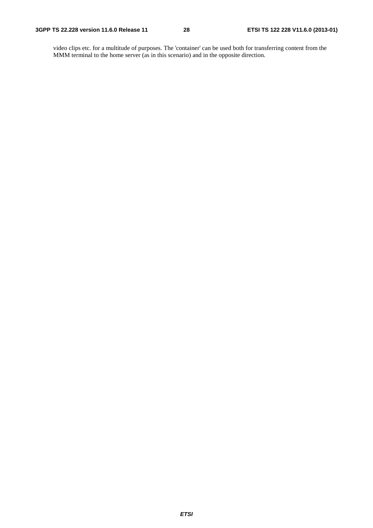video clips etc. for a multitude of purposes. The 'container' can be used both for transferring content from the MMM terminal to the home server (as in this scenario) and in the opposite direction.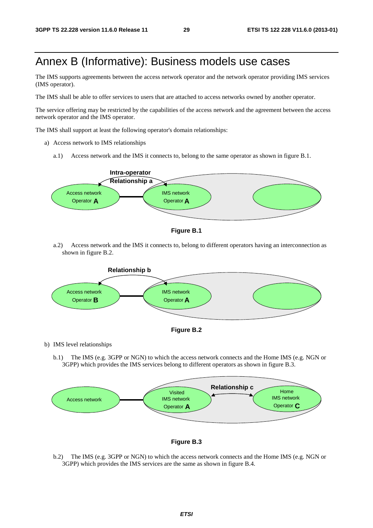## Annex B (Informative): Business models use cases

The IMS supports agreements between the access network operator and the network operator providing IMS services (IMS operator).

The IMS shall be able to offer services to users that are attached to access networks owned by another operator.

The service offering may be restricted by the capabilities of the access network and the agreement between the access network operator and the IMS operator.

The IMS shall support at least the following operator's domain relationships:

- a) Access network to IMS relationships
	- a.1) Access network and the IMS it connects to, belong to the same operator as shown in figure B.1.





a.2) Access network and the IMS it connects to, belong to different operators having an interconnection as shown in figure B.2.





b) IMS level relationships

b.1) The IMS (e.g. 3GPP or NGN) to which the access network connects and the Home IMS (e.g. NGN or 3GPP) which provides the IMS services belong to different operators as shown in figure B.3.





b.2) The IMS (e.g. 3GPP or NGN) to which the access network connects and the Home IMS (e.g. NGN or 3GPP) which provides the IMS services are the same as shown in figure B.4.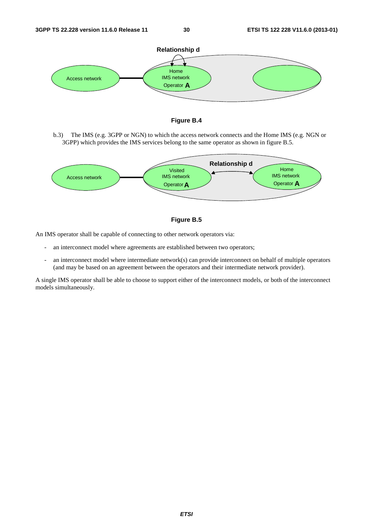



b.3) The IMS (e.g. 3GPP or NGN) to which the access network connects and the Home IMS (e.g. NGN or 3GPP) which provides the IMS services belong to the same operator as shown in figure B.5.





An IMS operator shall be capable of connecting to other network operators via:

- an interconnect model where agreements are established between two operators;
- an interconnect model where intermediate network(s) can provide interconnect on behalf of multiple operators (and may be based on an agreement between the operators and their intermediate network provider).

A single IMS operator shall be able to choose to support either of the interconnect models, or both of the interconnect models simultaneously.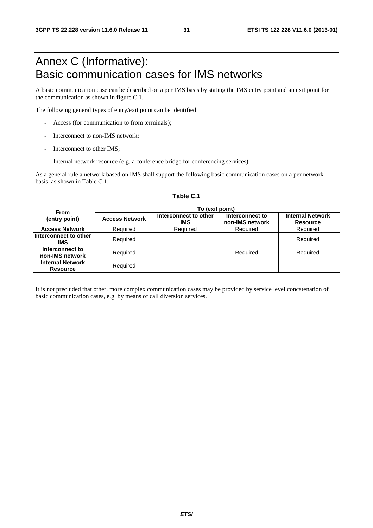## Annex C (Informative): Basic communication cases for IMS networks

A basic communication case can be described on a per IMS basis by stating the IMS entry point and an exit point for the communication as shown in figure C.1.

The following general types of entry/exit point can be identified:

- Access (for communication to from terminals);
- Interconnect to non-IMS network:
- Interconnect to other IMS:
- Internal network resource (e.g. a conference bridge for conferencing services).

As a general rule a network based on IMS shall support the following basic communication cases on a per network basis, as shown in Table C.1.

| <b>From</b>                                | To (exit point)       |                                     |                                    |                                            |  |  |  |  |  |  |
|--------------------------------------------|-----------------------|-------------------------------------|------------------------------------|--------------------------------------------|--|--|--|--|--|--|
| (entry point)                              | <b>Access Network</b> | Interconnect to other<br><b>IMS</b> | Interconnect to<br>non-IMS network | <b>Internal Network</b><br><b>Resource</b> |  |  |  |  |  |  |
| <b>Access Network</b>                      | Required              | Required                            | Required                           | Required                                   |  |  |  |  |  |  |
| Interconnect to other<br>IMS               | Required              |                                     |                                    | Required                                   |  |  |  |  |  |  |
| Interconnect to<br>non-IMS network         | Required              |                                     | Required                           | Required                                   |  |  |  |  |  |  |
| <b>Internal Network</b><br><b>Resource</b> | Required              |                                     |                                    |                                            |  |  |  |  |  |  |

#### **Table C.1**

It is not precluded that other, more complex communication cases may be provided by service level concatenation of basic communication cases, e.g. by means of call diversion services.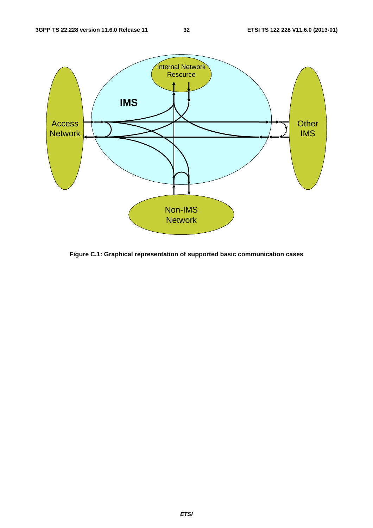

**Figure C.1: Graphical representation of supported basic communication cases**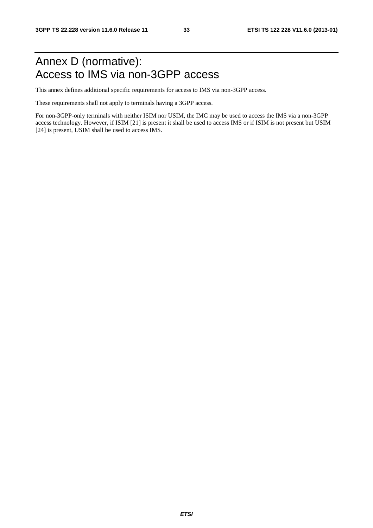## Annex D (normative): Access to IMS via non-3GPP access

This annex defines additional specific requirements for access to IMS via non-3GPP access.

These requirements shall not apply to terminals having a 3GPP access.

For non-3GPP-only terminals with neither ISIM nor USIM, the IMC may be used to access the IMS via a non-3GPP access technology. However, if ISIM [21] is present it shall be used to access IMS or if ISIM is not present but USIM [24] is present, USIM shall be used to access IMS.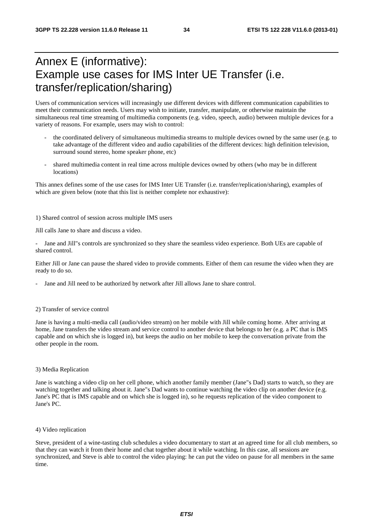## Annex E (informative): Example use cases for IMS Inter UE Transfer (i.e. transfer/replication/sharing)

Users of communication services will increasingly use different devices with different communication capabilities to meet their communication needs. Users may wish to initiate, transfer, manipulate, or otherwise maintain the simultaneous real time streaming of multimedia components (e.g. video, speech, audio) between multiple devices for a variety of reasons. For example, users may wish to control:

- the coordinated delivery of simultaneous multimedia streams to multiple devices owned by the same user (e.g. to take advantage of the different video and audio capabilities of the different devices: high definition television, surround sound stereo, home speaker phone, etc)
- shared multimedia content in real time across multiple devices owned by others (who may be in different locations)

This annex defines some of the use cases for IMS Inter UE Transfer (i.e. transfer/replication/sharing), examples of which are given below (note that this list is neither complete nor exhaustive):

1) Shared control of session across multiple IMS users

Jill calls Jane to share and discuss a video.

Jane and Jill"s controls are synchronized so they share the seamless video experience. Both UEs are capable of shared control.

Either Jill or Jane can pause the shared video to provide comments. Either of them can resume the video when they are ready to do so.

Jane and Jill need to be authorized by network after Jill allows Jane to share control.

#### 2) Transfer of service control

Jane is having a multi-media call (audio/video stream) on her mobile with Jill while coming home. After arriving at home, Jane transfers the video stream and service control to another device that belongs to her (e.g. a PC that is IMS capable and on which she is logged in), but keeps the audio on her mobile to keep the conversation private from the other people in the room.

#### 3) Media Replication

Jane is watching a video clip on her cell phone, which another family member (Jane"s Dad) starts to watch, so they are watching together and talking about it. Jane"s Dad wants to continue watching the video clip on another device (e.g. Jane's PC that is IMS capable and on which she is logged in), so he requests replication of the video component to Jane's PC.

4) Video replication

Steve, president of a wine-tasting club schedules a video documentary to start at an agreed time for all club members, so that they can watch it from their home and chat together about it while watching. In this case, all sessions are synchronized, and Steve is able to control the video playing: he can put the video on pause for all members in the same time.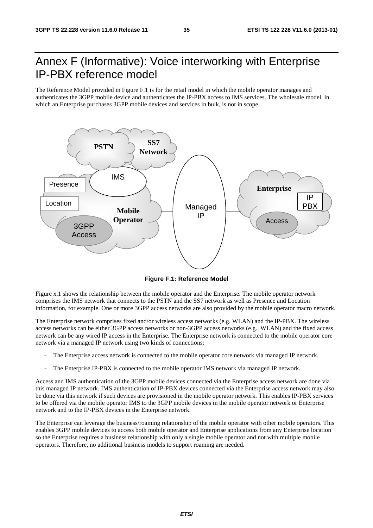## Annex F (Informative): Voice interworking with Enterprise IP-PBX reference model

The Reference Model provided in Figure F.1 is for the retail model in which the mobile operator manages and authenticates the 3GPP mobile device and authenticates the IP-PBX access to IMS services. The wholesale model, in which an Enterprise purchases 3GPP mobile devices and services in bulk, is not in scope.



**Figure F.1: Reference Model** 

Figure x.1 shows the relationship between the mobile operator and the Enterprise. The mobile operator network comprises the IMS network that connects to the PSTN and the SS7 network as well as Presence and Location information, for example. One or more 3GPP access networks are also provided by the mobile operator macro network.

The Enterprise network comprises fixed and/or wireless access networks (e.g. WLAN) and the IP-PBX. The wireless access networks can be either 3GPP access networks or non-3GPP access networks (e.g., WLAN) and the fixed access network can be any wired IP access in the Enterprise. The Enterprise network is connected to the mobile operator core network via a managed IP network using two kinds of connections:

- The Enterprise access network is connected to the mobile operator core network via managed IP network.
- The Enterprise IP-PBX is connected to the mobile operator IMS network via managed IP network.

Access and IMS authentication of the 3GPP mobile devices connected via the Enterprise access network are done via this managed IP network. IMS authentication of IP-PBX devices connected via the Enterprise access network may also be done via this network if such devices are provisioned in the mobile operator network. This enables IP-PBX services to be offered via the mobile operator IMS to the 3GPP mobile devices in the mobile operator network or Enterprise network and to the IP-PBX devices in the Enterprise network.

The Enterprise can leverage the business/roaming relationship of the mobile operator with other mobile operators. This enables 3GPP mobile devices to access both mobile operator and Enterprise applications from any Enterprise location so the Enterprise requires a business relationship with only a single mobile operator and not with multiple mobile operators. Therefore, no additional business models to support roaming are needed.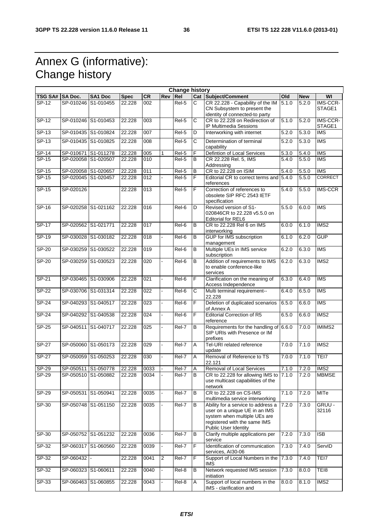## Annex G (informative): Change history

|                 |                     |                     |             |                  |                | <b>Change history</b> |                       |                                                                                                                                                             |                    |            |                          |
|-----------------|---------------------|---------------------|-------------|------------------|----------------|-----------------------|-----------------------|-------------------------------------------------------------------------------------------------------------------------------------------------------------|--------------------|------------|--------------------------|
| TSG SA# SA Doc. |                     | <b>SA1 Doc</b>      | <b>Spec</b> | <b>CR</b>        | Rev            | Re <sub>l</sub>       |                       | Cat Subject/Comment                                                                                                                                         | Old                | <b>New</b> | WI                       |
| $SP-12$         | SP-010246           | S1-010455           | 22.228      | 002              |                | Rel-5                 | $\overline{c}$        | CR 22.228 - Capability of the IM<br>CN Subsystem to present the<br>identity of connected-to party                                                           | 5.1.0              | 5.2.0      | IMS-CCR-<br>STAGE1       |
| $SP-12$         |                     | SP-010246 S1-010453 | 22.228      | 003              |                | Rel-5                 | C                     | CR to 22.228 on Redirection of<br>IP Multimedia Sessions                                                                                                    | 5.1.0              | 5.2.0      | IMS-CCR-<br>STAGE1       |
| $SP-13$         |                     | SP-010435 S1-010824 | 22.228      | 007              |                | Rel-5                 | D                     | Interworking with internet                                                                                                                                  | 5.2.0              | 5.3.0      | <b>IMS</b>               |
| $SP-13$         |                     | SP-010435 S1-010825 | 22.228      | 008              |                | Rel-5                 | C                     | Determination of terminal<br>capability                                                                                                                     | 5.2.0              | 5.3.0      | <b>IMS</b>               |
| SP-14           |                     | SP-010671 S1-011278 | 22.228      | 005              | 1              | Rel-5                 | F                     | Defintion of Local Services                                                                                                                                 | $\overline{5.3.0}$ | 5.4.0      | <b>IMS</b>               |
| $SP-15$         |                     | SP-020058 S1-020507 | 22.228      | 010              |                | Rel-5                 | $\overline{B}$        | CR 22.228 Rel. 5, IMS<br>Addressing                                                                                                                         | 5.4.0              | 5.5.0      | $\overline{\text{IMS}}$  |
| SP-15           | SP-020058 S1-020657 |                     | 22.228      | 011              |                | Rel-5                 | B                     | CR to 22.228 on ISIM                                                                                                                                        | 5.4.0              | 5.5.0      | <b>IMS</b>               |
| SP-15           | SP-020045 S1-020457 |                     | 22.228      | $\overline{012}$ |                | Rel-5                 | $\overline{F}$        | Editorial CR to correct terms and 5.4.0<br>references                                                                                                       |                    | 5.5.0      | <b>CORRECT</b>           |
| SP-15           | SP-020126           |                     | 22.228      | 013              |                | Rel-5                 | F                     | Correction of references to<br>obsolete SIP RFC 2543 IETF<br>specification                                                                                  | $\overline{5.4.0}$ | 5.5.0      | <b>IMS-CCR</b>           |
| SP-16           |                     | SP-020258 S1-021162 | 22.228      | 016              |                | Rel-6                 | D                     | Revised version of S1-<br>020846CR to 22,228 v5.5.0 on<br>Editorial for REL6                                                                                | 5.5.0              | 6.0.0      | <b>IMS</b>               |
| <b>SP-17</b>    | SP-020562 S1-021771 |                     | 22.228      | 017              |                | Rel-6                 | B                     | CR to 22.228 Rel 6 on IMS<br>interworking                                                                                                                   | 6.0.0              | 6.1.0      | IMS2                     |
| $SP-19$         |                     | SP-030028 S1-030182 | 22.228      | $\overline{018}$ |                | Rel-6                 | B                     | <b>GUP</b> for IMS subscription<br>management                                                                                                               | 6.1.0              | 6.2.0      | <b>GUP</b>               |
| SP-20           |                     | SP-030259 S1-030522 | 22.228      | 019              |                | Rel-6                 | B                     | Multiple UEs in IMS service<br>subscription                                                                                                                 | 6.2.0              | 6.3.0      | <b>IMS</b>               |
| SP-20           | SP-030259           | S1-030523           | 22.228      | 020              |                | Rel-6                 | B                     | Addition of requirements to IMS<br>to enable conference-like<br>services                                                                                    | 6.2.0              | 6.3.0      | $\overline{\text{IMS2}}$ |
| $SP-21$         | SP-030465 S1-030906 |                     | 22.228      | $\overline{021}$ |                | Rel-6                 | F                     | Clarification on the meaning of<br>Access Independence                                                                                                      | 6.3.0              | 6.4.0      | <b>IMS</b>               |
| $SP-22$         |                     | SP-030706 S1-031314 | 22.228      | $\overline{022}$ |                | Rel-6                 | $\overline{\text{c}}$ | Multi terminal requirement--<br>22.228                                                                                                                      | 6.4.0              | 6.5.0      | $\overline{\text{IMS}}$  |
| $SP-24$         | SP-040293 S1-040517 |                     | 22.228      | $\overline{023}$ |                | Rel-6                 | $\overline{F}$        | Deletion of duplicated scenarios<br>of Annex A                                                                                                              | 6.5.0              | 6.6.0      | $\overline{\text{IMS}}$  |
| $SP-24$         |                     | SP-040292 S1-040538 | 22.228      | 024              |                | Rel-6                 | F                     | <b>Editorial Correction of R5</b><br>reference                                                                                                              | 6.5.0              | 6.6.0      | IMS <sub>2</sub>         |
| SP-25           | SP-040511           | S1-040717           | 22.228      | 025              |                | Rel-7                 | B                     | Requirements for the handling of 6.6.0<br>SIP URIs with Presence or IM<br>prefixes                                                                          |                    | 7.0.0      | IMIMS2                   |
| $SP-27$         |                     | SP-050060 S1-050173 | 22.228      | 029              |                | Rel-7                 | Α                     | Tel-URI related reference<br>update                                                                                                                         | 7.0.0              | 7.1.0      | IMS <sub>2</sub>         |
| $SP-27$         | SP-050059           | S1-050253           | 22.228      | 030              |                | Rel-7                 | A                     | Removal of Reference to TS<br>22.121                                                                                                                        | 7.0.0              | 7.1.0      | TEI7                     |
| <b>SP-29</b>    |                     | SP-050511 S1-050778 | 22.228      | 0033             |                | Rel-7                 | $\overline{A}$        | Removal of Local Services                                                                                                                                   | 7.1.0              | 7.2.0      | MSS                      |
| SP-29           |                     | SP-050510 S1-050882 | 22.228      | 0034             |                | Rel-7                 | B                     | CR to 22.228 for allowing IMS to 7.1.0<br>use multicast capabilities of the<br>network                                                                      |                    | 7.2.0      | <b>MBMSE</b>             |
| SP-29           | SP-050531           | S1-050941           | 22.228      | 0035             |                | Rel-7                 | B                     | CR to 22.228 on CS-IMS<br>multimedia service interworking                                                                                                   | 7.1.0              | 7.2.0      | <b>MITe</b>              |
| SP-30           |                     | SP-050748 S1-051150 | 22.228      | 0035             |                | Rel-7                 | В                     | Ability for a service to address a<br>user on a unique UE in an IMS<br>system when multiple UEs are<br>registered with the same IMS<br>Public User Identity | 7.2.0              | 7.3.0      | GRUU -<br>32116          |
| SP-30           |                     | SP-050752 S1-051232 | 22.228      | 0036             |                | Rel-7                 | B                     | Clarify multiple applications per<br>service                                                                                                                | 7.2.0              | 7.3.0      | $\overline{1SB}$         |
| $SP-32$         |                     | SP-060317 S1-060560 | 22.228      | 0039             |                | Rel-7                 | F                     | Identification of communication<br>services, AI30-06                                                                                                        | 7.3.0              | 7.4.0      | ServID                   |
| SP-32           | SP-060432           |                     | 22.228      | 0041             | $\overline{c}$ | Rel-7                 | F                     | Support of Local Numbers in the 7.3.0<br>IMS.                                                                                                               |                    | 7.4.0      | TEI7                     |
| SP-32           | SP-060323 S1-060611 |                     | 22.228      | 0040             | $\blacksquare$ | Rel-8                 | В                     | Network requested IMS session<br>initiation                                                                                                                 | 7.3.0              | 8.0.0      | TEI8                     |
| SP-33           |                     | SP-060463 S1-060855 | 22.228      | 0043             |                | Rel-8                 | A                     | Support of local numbers in the<br>IMS - clarification and                                                                                                  | 8.0.0              | 8.1.0      | IMS <sub>2</sub>         |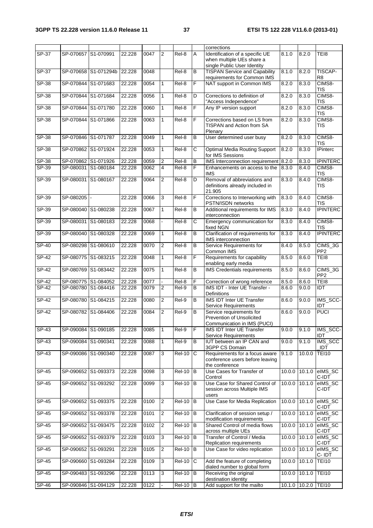|                                    |                                            |                      |                  |              |                |                                |                                         | corrections                                                                                 |        |                               |                                          |
|------------------------------------|--------------------------------------------|----------------------|------------------|--------------|----------------|--------------------------------|-----------------------------------------|---------------------------------------------------------------------------------------------|--------|-------------------------------|------------------------------------------|
| $SP-37$                            | SP-070657 S1-070991                        |                      | 22.228           | 0047         | 2              | Rel-8                          | A                                       | Identification of a specific UE<br>when multiple UEs share a<br>single Public User Identity | 8.1.0  | 8.2.0                         | TEI8                                     |
| SP-37                              |                                            | SP-070658 S1-071294b | 22.228           | 0048         |                | Rel-8                          | B                                       | <b>TISPAN Service and Capability</b><br>requirements for Common IMS                         | 8.1.0  | 8.2.0                         | TISCAP-<br>R <sub>8</sub>                |
| SP-38                              | SP-070844 S1-071683                        |                      | 22.228           | 0054         | $\mathbf{1}$   | Rel-8                          | F                                       | NAT support in Common IMS                                                                   | 8.2.0  | 8.3.0                         | CIMS8-<br>TIS                            |
| SP-38                              | SP-070844 S1-071684                        |                      | 22.228           | 0056         | $\mathbf{1}$   | Rel-8                          | D                                       | Corrections to definition of<br>"Access Independence"                                       | 8.2.0  | 8.3.0                         | CIMS8-<br><b>TIS</b>                     |
| SP-38                              | SP-070844 S1-071780                        |                      | 22.228           | 0060         | 1              | Rel-8                          | F                                       | Any IP version support                                                                      | 8.2.0  | 8.3.0                         | CIMS8-<br>TIS                            |
| $SP-38$                            | SP-070844 S1-071866                        |                      | 22.228           | 0063         | 1              | Rel-8                          | F                                       | Corrections based on LS from<br>TISPAN and Action from SA<br>Plenary                        | 8.2.0  | 8.3.0                         | CIMS8-<br><b>TIS</b>                     |
| SP-38                              | SP-070846 S1-071787                        |                      | 22.228           | 0049         | 1              | Rel-8                          | B                                       | User determined user busy                                                                   | 8.2.0  | 8.3.0                         | CIMS8-<br>TIS                            |
| SP-38                              | SP-070862 S1-071924                        |                      | 22.228           | 0053         | $\mathbf{1}$   | Rel-8                          | С                                       | Optimal Media Routing Support<br>for IMS Sessions                                           | 8.2.0  | 8.3.0                         | <b>IPinterc</b>                          |
| SP-38                              | SP-070862 S1-071926                        |                      | 22.228           | 0059         | 2              | Rel-8                          | B                                       | IMS Interconnection requirement 8.2.0                                                       |        | 8.3.0                         | <b>IPINTERC</b>                          |
| $SP-39$                            | SP-080031 S1-080184                        |                      | 22.228           | 0062         | 4              | Rel-8                          | F                                       | Enhancements on access to the                                                               | 8.3.0  | 8.4.0                         | CIMS8-                                   |
| $SP-39$                            | SP-080031 S1-080167                        |                      | 22.228           | 0064         | 2              | Rel-8                          | D                                       | <b>IMS</b><br>Removal of abbreviations and<br>definitions already included in               | 8.3.0  | 8.4.0                         | <b>TIS</b><br>CIMS8-<br>TIS              |
| $SP-39$                            | SP-080205                                  |                      | 22.228           | 0066         | 3              | Rel-8                          | F                                       | 21.905<br>Corrections to Interworking with                                                  | 8.3.0  | 8.4.0                         | CIMS8-                                   |
| SP-39                              | SP-080040 S1-080238                        |                      | 22.228           | 0067         | 1              | Rel-8                          | B                                       | PSTN/ISDN networks<br>Additional requirements for IMS                                       | 8.3.0  | 8.4.0                         | <b>TIS</b><br><b>IPINTERC</b>            |
| SP-39                              | SP-080031 S1-080183                        |                      | 22.228           | 0068         |                | Rel-8                          | C                                       | interconnection<br>Emergency communication for                                              | 8.3.0  | 8.4.0                         | CIMS8-                                   |
| $SP-39$                            | SP-080040 S1-080328                        |                      | 22.228           | 0069         | $\mathbf{1}$   | $Rel-8$                        | B                                       | fixed NGN<br>Clarification of requirements for                                              | 8.3.0  | 8.4.0                         | <b>TIS</b><br><b>IPINTERC</b>            |
| $SP-40$                            | SP-080298 S1-080610                        |                      | 22.228           | 0070         | $\overline{2}$ | Rel-8                          | $\overline{B}$                          | IMS interconnection<br>Service Requirements for<br>Common IMS                               | 8.4.0  | 8.5.0                         | CIMS_3G<br>PP <sub>2</sub>               |
| SP-42                              | SP-080775 S1-083215                        |                      | 22.228           | 0048         | 1              | Rel-8                          | F                                       | Requirements for capability<br>enabling early media                                         | 8.5.0  | 8.6.0                         | TEI8                                     |
| <b>SP-42</b>                       | SP-080769 S1-083442                        |                      | 22.228           | 0075         | $\mathbf{1}$   | Rel-8                          | B                                       | <b>IMS</b> Credentials requirements                                                         | 8.5.0  | 8.6.0                         | $\overline{CIMS}\_3G$<br>PP <sub>2</sub> |
| SP-42                              | SP-080775 S1-084052                        |                      | 22.228           | 0077         |                | Rel-8                          | F                                       | Correction of wrong reference                                                               | 8.5.0  | 8.6.0                         | TEI8                                     |
| SP-42                              | SP-080780 S1-084416                        |                      | 22.228           | 0079         | 2              | Rel-9                          | B                                       | IMS IDT - Inter UE Transfer -<br><b>Definitions</b>                                         | 8.6.0  | 9.0.0                         | IDT                                      |
| $SP-42$                            |                                            | SP-080780 S1-084215  | 22.228           | 0080         | 2              | Rel-9                          | B                                       | <b>IMS IDT Inter UE Transfer</b><br>Service Requirements                                    | 8.6.0  | 9.0.0                         | IMS_SCC-<br>IDT                          |
| $SP-42$                            | SP-080782 S1-084406                        |                      | 22.228           | 0084         | $\overline{2}$ | Rel-9                          | B                                       | Service requirements for<br>Prevention of Unsolicited<br>Communication in IMS (PUCI)        | 8.6.0  | 9.0.0                         | <b>PUCI</b>                              |
| $SP-43$                            | SP-090084 S1-090185                        |                      | 22.228           | 0085         | 1              | Rel-9                          | F                                       | <b>IMS IDT Inter UE Transfer</b><br>Service Requirements                                    | 9.0.0  | 9.1.0                         | IMS_SCC-<br>IDT                          |
| $SP-43$                            | SP-090084 S1-090341                        |                      | 22.228           | 0088         | 1              | Rel-9                          | В                                       | <b>IUT between an IP CAN and</b><br>3GPP CS Domain                                          | 9.0.0  | 9.1.0                         | <b>IMS SCC</b><br>IDT                    |
| SP-43                              | SP-090086 S1-090340                        |                      | 22.228           | 0087         | 3              | <b>Rel-10</b>                  | C                                       | Requirements for a focus aware<br>conference users before leaving<br>the conference         | 9.1.0  | 10.0.0                        | <b>TEI10</b>                             |
| SP-45                              | SP-090652 S1-093373                        |                      |                  |              |                |                                |                                         |                                                                                             |        |                               | elMS SC                                  |
| SP-45                              |                                            |                      | 22.228           | 0098         | 3              | <b>Rel-10</b>                  | B                                       | Use Cases for Transfer of<br>Control                                                        | 10.0.0 | 10.1.0                        | C-IDT                                    |
|                                    | SP-090652 S1-093292                        |                      | 22.228           | 0099         | 3              | <b>Rel-10</b>                  | B                                       | Use Case for Shared Control of<br>session across Multiple IMS                               | 10.0.0 | 10.1.0                        | eIMS_SC<br>C-IDT                         |
| SP-45                              |                                            | SP-090652 S1-093375  | 22.228           | 0100         | $\overline{2}$ | <b>Rel-10</b>                  | B                                       | users<br>Use Case for Media Replication                                                     |        | 10.0.0 10.1.0                 | elMS_SC<br>C-IDT                         |
| $SP-45$                            |                                            | SP-090652 S1-093378  | 22.228           | 0101         | 2              | <b>Rel-10</b>                  | B                                       | Clarification of session setup /<br>modification requirements                               | 10.0.0 | 10.1.0                        | elMS_SC<br>C-IDT                         |
| SP-45                              | SP-090652 S1-093475                        |                      | 22.228           | 0102         | $\overline{2}$ | $\overline{Rel-10}$            | $\, {\bf B}$                            | Shared Control of media flows<br>across multiple UEs                                        | 10.0.0 | 10.1.0                        | elMS_SC<br>C-IDT                         |
| SP-45                              | SP-090652 S1-093379                        |                      | 22.228           | 0103         | 3              | <b>Rel-10</b>                  | B                                       | Transfer of Control / Media<br>Replication requirements                                     | 10.0.0 | 10.1.0                        | elMS_SC<br>C-IDT                         |
| SP-45                              | SP-090652 S1-093291                        |                      | 22.228           | 0105         | 2              | <b>Rel-10</b>                  | B                                       | Use Case for video replication                                                              | 10.0.0 | 10.1.0                        | elMS_SC<br>C-IDT                         |
| SP-45                              |                                            | SP-090660 S1-093284  | 22.228           | 0109         | 3              | <b>Rel-10</b>                  | С                                       | Add the feature of completing<br>dialed number to global form                               | 10.0.0 | 10.1.0                        | <b>TEI10</b>                             |
| SP-45<br>$\overline{\text{SP-46}}$ | SP-090483 S1-093296<br>SP-090846 S1-094129 |                      | 22.228<br>22.228 | 0113<br>0122 | 3              | <b>Rel-10</b><br><b>Rel-10</b> | $\, {\bf B}$<br>$\overline{\mathsf{B}}$ | Receiving the original<br>destination identity<br>Add support for the mailto                | 10.0.0 | 10.1.0<br>10.1.0 10.2.0 TEI10 | <b>TEI10</b>                             |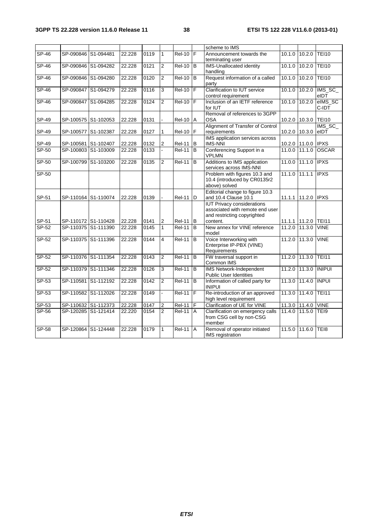| SP-46          |                                            |                     | 22.228           | 0119         | $\mathbf{1}$        | $ReI-10$ $F$                  |   | scheme to IMS                                                 | 10.1.0           |                  | <b>TEI10</b>     |
|----------------|--------------------------------------------|---------------------|------------------|--------------|---------------------|-------------------------------|---|---------------------------------------------------------------|------------------|------------------|------------------|
|                | SP-090846 S1-094481                        |                     |                  |              |                     |                               |   | Announcement towards the<br>terminating user                  |                  | 10.2.0           |                  |
| $SP-46$        |                                            | SP-090846 S1-094282 | 22.228           | 0121         | $\overline{2}$      | $Rel-10$ $B$                  |   | <b>IMS-Unallocated identity</b>                               | 10.1.0           | 10.2.0           | <b>TEI10</b>     |
|                |                                            |                     |                  |              |                     |                               |   | handling                                                      |                  |                  |                  |
| $SP-46$        | SP-090846 S1-094280                        |                     | 22.228           | 0120         | $\overline{2}$      | <b>Rel-10</b>                 | B | Request information of a called                               | 10.1.0           | 10.2.0           | <b>TEI10</b>     |
|                |                                            |                     |                  |              |                     |                               |   | party                                                         |                  |                  |                  |
| SP-46          |                                            | SP-090847 S1-094279 | 22.228           | 0116         | 3                   | <b>Rel-10</b>                 | F | Clarification to IUT service                                  | 10.1.0           |                  | 10.2.0   IMS_SC_ |
|                |                                            |                     |                  |              |                     |                               |   | control requirement                                           |                  |                  | eIDT             |
| SP-46          | SP-090847 S1-094285                        |                     | 22.228           | 0124         | $\overline{2}$      | <b>Rel-10</b>                 | F | Inclusion of an IETF reference                                | 10.1.0           | 10.2.0           | elMS_SC          |
|                |                                            |                     |                  |              |                     |                               |   | for IUT<br>Removal of references to 3GPP                      |                  |                  | C-IDT            |
| SP-49          | SP-100575 S1-102053                        |                     | 22.228           | 0131         |                     | <b>Rel-10</b>                 | Α | <b>OSA</b>                                                    | 10.2.0           | 10.3.0           | <b>TEI10</b>     |
|                |                                            |                     |                  |              |                     |                               |   | Alignment of Transfer of Control                              |                  |                  | IMS SC           |
| SP-49          | SP-100577                                  | S1-102387           | 22.228           | 0127         | $\mathbf{1}$        | <b>Rel-10</b>                 | F | requirements                                                  | 10.2.0           | 10.3.0           | eIDT             |
|                |                                            |                     |                  |              |                     |                               |   | IMS application services across                               |                  |                  |                  |
| SP-49          | SP-100581                                  | S1-102407           | 22.228           | 0132         | 2                   | <b>Rel-11</b>                 | B | <b>IMS-NNI</b>                                                | 10.2.0           | 11.0.0 IPXS      |                  |
| $SP-50$        | SP-100803                                  | S1-103009           | 22.228           | 0133         |                     | <b>Rel-11</b>                 | B | Conferencing Support in a                                     | 11.0.0           | 11.1.0           | <b>OSCAR</b>     |
|                |                                            |                     |                  |              |                     |                               |   | <b>VPLMN</b>                                                  |                  |                  |                  |
| $SP-50$        | SP-100799                                  | S1-103200           | 22.228           | 0135         | $\overline{2}$      | <b>Rel-11</b>                 | B | Additions to IMS application                                  | 11.0.0           | 11.1.0           | <b>IPXS</b>      |
|                |                                            |                     |                  |              |                     |                               |   | services across IMS-NNI                                       |                  | 11.1.1 IPXS      |                  |
| $SP-50$        |                                            |                     |                  |              |                     |                               |   | Problem with figures 10.3 and<br>10.4 (introduced by CR0135r2 | 11.1.0           |                  |                  |
|                |                                            |                     |                  |              |                     |                               |   | above) solved                                                 |                  |                  |                  |
|                |                                            |                     |                  |              |                     |                               |   | Editorial change to figure 10.3                               |                  |                  |                  |
| SP-51          |                                            | SP-110164 S1-110074 | 22.228           | 0139         |                     | <b>Rel-11</b>                 | D | and 10.4 Clause 10.1                                          | 11.1.1           | 11.2.0 IPXS      |                  |
|                |                                            |                     |                  |              |                     |                               |   | <b>IUT Privacy considerations</b>                             |                  |                  |                  |
|                |                                            |                     |                  |              |                     |                               |   | associated with remote end user                               |                  |                  |                  |
|                |                                            |                     |                  |              |                     |                               |   | and restricting copyrighted                                   |                  |                  |                  |
| SP-51          |                                            | SP-110172 S1-110428 | 22.228           | 0141         | $\overline{2}$      | $Rel-11$ B                    |   | content.                                                      | 11.1.1           | 11.2.0 TEI11     |                  |
| $SP-52$        | SP-110375 S1-111390                        |                     | 22.228           | 0145         | $\mathbf{1}$        | <b>Rel-11</b>                 | B | New annex for VINE reference<br>model                         | 11.2.0           | 11.3.0           | <b>VINE</b>      |
| SP-52          |                                            | SP-110375 S1-111396 | 22.228           | 0144         | 4                   | <b>Rel-11</b>                 | B | Voice Interworking with                                       | 11.2.0           | 11.3.0           | <b>VINE</b>      |
|                |                                            |                     |                  |              |                     |                               |   | Enterprise IP-PBX (VINE)                                      |                  |                  |                  |
|                |                                            |                     |                  |              |                     |                               |   | Requirements                                                  |                  |                  |                  |
| $SP-52$        | SP-110376 S1-111354                        |                     | 22.228           | 0143         | $\overline{2}$      | <b>Rel-11</b>                 | B | FW traversal support in                                       | 11.2.0           | 11.3.0 TEI11     |                  |
|                |                                            |                     |                  |              |                     |                               |   | Common IMS                                                    |                  |                  |                  |
| <b>SP-52</b>   | SP-110379 S1-111346                        |                     | 22.228           | 0126         | 3                   | <b>Rel-11</b>                 | B | <b>IMS Network-Independent</b>                                | 11.2.0           | 11.3.0 INIPUI    |                  |
|                |                                            |                     |                  |              |                     |                               |   | <b>Public User Identities</b>                                 |                  |                  |                  |
| $SP-53$        |                                            | SP-110581 S1-112192 | 22.228           | 0142         | $\overline{2}$      | <b>Rel-11</b>                 | B | Information of called party for                               | 11.3.0           | 11.4.0 INPUI     |                  |
|                |                                            |                     |                  |              |                     |                               |   | <b>INIPUI</b>                                                 |                  |                  |                  |
| SP-53          |                                            | SP-110582 S1-112026 | 22.228           | 0149         |                     | <b>Rel-11</b>                 | F | Re-introduction of an approved                                | 11.3.0           | 11.4.0           | <b>TEI11</b>     |
|                |                                            |                     |                  |              |                     |                               | F | high level requirement<br>Clarification of UE for VINE        |                  |                  | <b>VINE</b>      |
| SP-53<br>SP-56 | SP-110632 S1-112373<br>SP-120285 S1-121414 |                     | 22.228<br>22.220 | 0147<br>0154 | 2<br>$\overline{2}$ | <b>Rel-11</b><br>$ReI-11$ $A$ |   | Clarification on emergency calls                              | 11.3.0<br>11.4.0 | 11.4.0<br>11.5.0 | TEI9             |
|                |                                            |                     |                  |              |                     |                               |   | from CSG cell by non-CSG                                      |                  |                  |                  |
|                |                                            |                     |                  |              |                     |                               |   | member                                                        |                  |                  |                  |
| SP-58          | SP-120864                                  | S1-124448           | 22.228           | 0179         | $\mathbf{1}$        | <b>Rel-11</b>                 | A | Removal of operator initiated                                 | 11.5.0           | 11.6.0           | TEI8             |
|                |                                            |                     |                  |              |                     |                               |   | IMS registration                                              |                  |                  |                  |